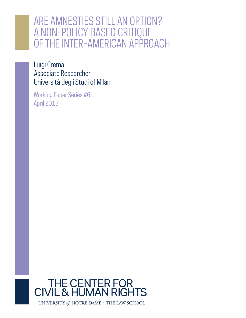# ARE AMNESTIES STILL AN OPTION? A NON-POLICY BASED CRITIQUE OF THE INTER-AMERICAN APPROACH

Luigi Crema Associate Researcher Università degli Studi of Milan

Working Paper Series #6 April 2013



UNIVERSITY of NOTRE DAME  $\cdot$  THE LAW SCHOOL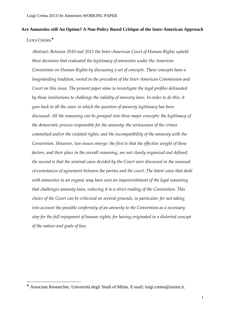# **Are Amnesties still An Option? A Non-Policy Based Critique of the Inter-American Approach** LUIGI CREMA<sup>\*</sup>

*Abstract: Between 2010 and 2012 the Inter-American Court of Human Rights upheld three decisions that evaluated the legitimacy of amnesties under the American Convention on Human Rights by discussing a set of concepts. These concepts have a longstanding tradition, rooted in the precedent of the Inter-American Commission and Court on this issue. The present paper aims to investigate the legal profiles delineated by those institutions to challenge the validity of amnesty laws. In order to do this, it goes back to all the cases in which the question of amnesty legitimacy has been discussed. All the reasoning can be grouped into three major concepts: the legitimacy of the democratic process responsible for the amnesty; the seriousness of the crimes committed and/or the violated rights; and the incompatibility of the amnesty with the Convention. However, two issues emerge: the first is that the effective weight of these factors, and their place in the overall reasoning, are not clearly organized and defined; the second is that the seminal cases decided by the Court were discussed in the unusual circumstances of agreement between the parties and the court. The latest cases that dealt with amnesties in an organic way have seen an impoverishment of the legal reasoning that challenges amnesty laws, reducing it to a strict reading of the Convention. This choice of the Court can be criticized on several grounds, in particular: for not taking into account the possible conformity of an amnesty to the Convention as a necessary step for the full enjoyment of human rights; for having originated in a distorted concept of the nature and goals of law.*

<u>.</u>

Associate Researcher, Università degli Studi of Milan. E-mail: luigi.crema@unimi.it.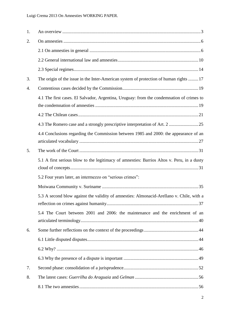| 1. |                                                                                            |
|----|--------------------------------------------------------------------------------------------|
| 2. |                                                                                            |
|    |                                                                                            |
|    |                                                                                            |
|    |                                                                                            |
| 3. | The origin of the issue in the Inter-American system of protection of human rights  17     |
| 4. |                                                                                            |
|    | 4.1 The first cases. El Salvador, Argentina, Uruguay: from the condemnation of crimes to   |
|    |                                                                                            |
|    |                                                                                            |
|    | 4.4 Conclusions regarding the Commission between 1985 and 2000: the appearance of an       |
| 5. |                                                                                            |
|    | 5.1 A first serious blow to the legitimacy of amnesties: Barrios Altos v. Peru, in a dusty |
|    | 5.2 Four years later, an intermezzo on "serious crimes":                                   |
|    |                                                                                            |
|    | 5.3 A second blow against the validity of amnesties: Almonacid-Arellano v. Chile, with a   |
|    | 5.4 The Court between 2001 and 2006: the maintenance and the enrichment of an              |
| 6. |                                                                                            |
|    |                                                                                            |
|    |                                                                                            |
|    |                                                                                            |
| 7. |                                                                                            |
| 8. |                                                                                            |
|    |                                                                                            |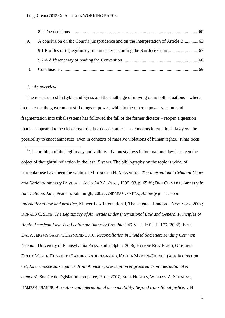| 9. | A conclusion on the Court's jurisprudence and on the Interpretation of Article 2 |  |
|----|----------------------------------------------------------------------------------|--|
|    |                                                                                  |  |
|    |                                                                                  |  |
|    |                                                                                  |  |

#### *1. An overview*

The recent unrest in Lybia and Syria, and the challenge of moving on in both situations – where, in one case, the government still clings to power, while in the other, a power vacuum and fragmentation into tribal systems has followed the fall of the former dictator – reopen a question that has appeared to be closed over the last decade, at least as concerns international lawyers: the possibility to enact amnesties, even in contexts of massive violations of human rights.<sup>1</sup> It has been

<span id="page-3-0"></span><sup>1</sup> The problem of the legitimacy and validity of amnesty laws in international law has been the object of thoughtful reflection in the last 15 years. The bibliography on the topic is wide; of particular use have been the works of MAHNOUSH H. ARSANJANI, *The International Criminal Court and National Amnesty Laws*, *Am. Soc"y Int"l L. Proc.*, 1999, 93, p. 65 ff.; BEN CHIGARA, *Amnesty in International Law*, Pearson, Edinburgh, 2002; ANDREAS O'SHEA, *Amnesty for crime in international law and practice*, Kluwer Law International, The Hague – London – New York, 2002; RONALD C. SLYE, *The Legitimacy of Amnesties under International Law and General Principles of Anglo-American Law: Is a Legitimate Amnesty Possible?*, 43 Va. J. Int'L L. 173 (2002); ERIN DALY, JEREMY SARKIN, DESMOND TUTU, *Reconciliation in Divided Societies: Finding Common Ground*, University of Pennsylvania Press, Philadelphia, 2006; HELÈNE RUIZ FABRI, GABRIELE DELLA MORTE, ELISABETH LAMBERT-ABDELGAWAD, KATHIA MARTIN-CHENUT (sous la direction de), *La clémence saisie par le droit. Amnistie, prescription et grâce en droit international et comparé*, Société de législation comparée, Paris, 2007; EDEL HUGHES, WILLIAM A. SCHABAS, RAMESH THAKUR, *Atrocities and international accountability. Beyond transitional justice*, UN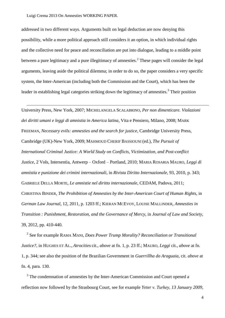<u>.</u>

addressed in two different ways. Arguments built on legal deduction are now denying this possibility, while a more political approach still considers it an option, in which individual rights and the collective need for peace and reconciliation are put into dialogue, leading to a middle point between a pure legitimacy and a pure illegitimacy of amnesties.<sup>2</sup> These pages will consider the legal arguments, leaving aside the political dilemma; in order to do so, the paper considers a very specific system, the Inter-American (including both the Commission and the Court), which has been the leader in establishing legal categories striking down the legitimacy of amnesties.<sup>3</sup> Their position

University Press, New York, 2007; MICHELANGELA SCALABRINO, *Per non dimenticare. Violazioni dei diritti umani e leggi di amnistia in America latina*, Vita e Pensiero, Milano, 2008; MARK FREEMAN, *Necessary evils: amnesties and the search for justice*, Cambridge University Press, Cambridge (UK)-New York, 2009; MAHMOUD CHERIF BASSIOUNI (ed.), *The Pursuit of International Criminal Justice: A World Study on Conflicts, Victimization, and Post-conflict Justice*, 2 Vols, Intersentia, Antwerp – Oxford – Portland, 2010; MARIA ROSARIA MAURO, *Leggi di amnistia e punizione dei crimini internazionali*, in *Rivista Diritto Internazionale*, 93, 2010, p. 343; GABRIELE DELLA MORTE, *Le amnistie nel diritto internazionale*, CEDAM, Padova, 2011; CHRISTINA BINDER, *The Prohibition of Amnesties by the Inter-American Court of Human Rights*, in *German Law Journal*, 12, 2011, p. 1203 ff.; KIERAN MCEVOY, LOUISE MALLINDER, *Amnesties in Transition : Punishment, Restoration, and the Governance of Mercy*, in *Journal of Law and Society*, 39, 2012, pp. 410-440.

2 See for example RAMA MANI, *Does Power Trump Morality? Reconciliation or Transitional Justice?*, in HUGHES ET AL., *Atrocities* cit., *above* at fn. 1, p. 23 ff.; MAURO, *Leggi* cit., *above* at fn. 1, p. 344; see also the position of the Brazilian Government in *Guerrillha do Araguaia,* cit. *above* at fn. 4, para. 130.

<sup>3</sup> The condemnation of amnesties by the Inter-American Commission and Court opened a reflection now followed by the Strasbourg Court, see for example *Yeter v. Turkey, 13 January 2009*,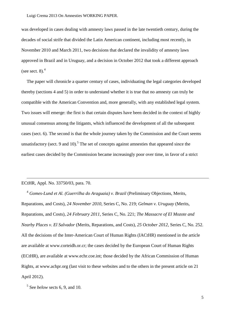was developed in cases dealing with amnesty laws passed in the late twentieth century, during the decades of social strife that divided the Latin American continent, including most recently, in November 2010 and March 2011, two decisions that declared the invalidity of amnesty laws approved in Brazil and in Uruguay, and a decision in October 2012 that took a different approach (see sect. 8). $<sup>4</sup>$ </sup>

The paper will chronicle a quarter century of cases, individuating the legal categories developed thereby (sections 4 and 5) in order to understand whether it is true that no amnesty can truly be compatible with the American Convention and, more generally, with any established legal system. Two issues will emerge: the first is that certain disputes have been decided in the context of highly unusual consensus among the litigants, which influenced the development of all the subsequent cases (sect. 6). The second is that the whole journey taken by the Commission and the Court seems unsatisfactory (sect. 9 and 10).<sup>5</sup> The set of concepts against amnesties that appeared since the earliest cases decided by the Commission became increasingly poor over time, in favor of a strict

# ECtHR, Appl. No. 33750/03, para. 70.

-

<sup>4</sup> *Gomes-Lund et Al. (Guerrilha do Araguaia) v. Brazil* (Preliminary Objections, Merits, Reparations, and Costs), *24 November 2010*, Series C, No. 219; *Gelman v. Uruguay* (Merits, Reparations, and Costs)*, 24 February 2011*, Series C, No. 221; *The Massacre of El Mozote and Nearby Places v. El Salvador* (Merits, Reparations, and Costs), *25 October 2012*, Series C, No. 252. All the decisions of the Inter-American Court of Human Rights (IACtHR) mentioned in the article are available at www.corteidh.or.cr; the cases decided by the European Court of Human Rights (ECtHR), are available at www.echr.coe.int; those decided by the African Commission of Human Rights, at www.achpr.org (last visit to these websites and to the others in the present article on 21 April 2012).

5 See *below* sects [6,](#page-44-0) [9,](#page-64-0) and [10.](#page-69-0)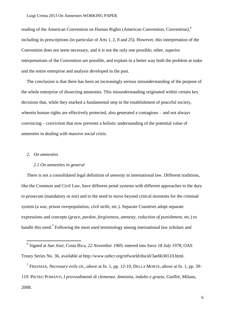reading of the American Convention on Human Rights (American Convention, Convention),<sup>6</sup> including its prescriptions (in particular of Arts 1, 2, 8 and 25). However, this interpretation of the Convention does not seem necessary, and it is not the only one possible; other, superior interpretations of the Convention are possible, and explain in a better way both the problem at stake and the entire enterprise and analysis developed in the past.

The conclusion is that there has been an increasingly serious misunderstanding of the purpose of the whole enterprise of dissecting amnesties. This misunderstanding originated within certain key decisions that, while they marked a fundamental step in the establishment of peaceful society, wherein human rights are effectively protected, also generated a contagious – and not always convincing – conviction that now prevents a holistic understanding of the potential value of amnesties in dealing with massive social crisis.

#### *2. On amnesties*

<u>.</u>

# *2.1 On amnesties in general*

There is not a consolidated legal definition of *amnesty* in international law. Different traditions, like the Common and Civil Law, have different penal systems with different approaches to the duty to prosecute (mandatory or not) and to the need to move beyond critical moments for the criminal system (a war, prison overpopulation, civil strife, etc.). Separate Countries adopt separate expressions and concepts (*grace*, *pardon*, *forgiveness*, *amnesty*, *reduction of punishment*, etc.) to handle this need.<sup>7</sup> Following the most used terminology among international law scholars and

7 FREEMAN, *Necessary evils* cit., *above* at fn. 1, pp. 12-19, DELLA MORTE, *above* at fn. 1, pp. 39- 119. PIETRO POMANTI, *I provvedimenti di clemenza. Amnistia, indulto e grazia*, Giuffré, Milano, 2008.

<sup>6</sup> Signed at *San José*, Costa Rica, *22 November 1969*, entered into force *18 July 1978*, OAS Treaty Series No. 36, available at http://www.unhcr.org/refworld/docid/3ae6b36510.html.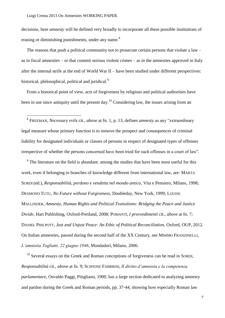decisions, here *amnesty* will be defined very broadly to incorporate all these possible institutions of erasing or diminishing punishments, under any name.<sup>8</sup>

The reasons that push a political community not to prosecute certain persons that violate a law – as in fiscal amnesties – or that commit serious violent crimes – as in the amnesties approved in Italy after the internal strife at the end of World War II – have been studied under different perspectives: historical, philosophical, political and juridical.<sup>9</sup>

<span id="page-7-0"></span>From a historical point of view, acts of forgiveness by religious and political authorities have been in use since antiquity until the present day.<sup>10</sup> Considering law, the issues arising from an

8<br><sup>8</sup> FREEMAN, *Necessary evils* cit., *above* at fn. 1, p. 13, defines *amnesty* as any "extraordinary" legal measure whose primary function is to remove the prospect and consequences of criminal liability for designated individuals or classes of persons in respect of designated types of offenses irrespective of whether the persons concerned have been tried for such offenses in a court of law".

 $9<sup>9</sup>$  The literature on the field is abundant: among the studies that have been most useful for this work, even if belonging to branches of knowledge different from international law, are: MARTA SORDI (ed.), *Responsabilità, perdono e vendetta nel mondo antico*, Vita e Pensiero, Milano, 1998; DESMOND TUTU, *No Future without Forgiveness*, Doubleday, New York, 1999; LOUISE MALLINDER, *Amnesty, Human Rights and Political Transitions: Bridging the Peace and Justice Divide,* Hart Publishing, Oxford-Portland, 2008; POMANTI, *I provvedimenti* cit., *above* at fn. 7; DANIEL PHILPOTT, *Just and Unjust Peace: An Ethic of Political Reconciliation*, Oxford, OUP, 2012. On Italian amnesties, passed during the second half of the XX Century, see MIMMO FRANZINELLI, *L"amnistia Togliatti. 22 giugno 1946*, Mondadori, Milano, 2006.

 $10$  Several essays on the Greek and Roman conceptions of forgiveness can be read in SORDI, *Responsabilità* cit., *above* at fn. 9; SCIPIONE FABBRINI, *Il diritto d"amnistia e la competenza parlamentare*, Osvaldo Paggi, Pitigliano, 1900, has a large section dedicated to analyzing amnesty and pardon during the Greek and Roman periods, pp. 37-44, showing how especially Roman law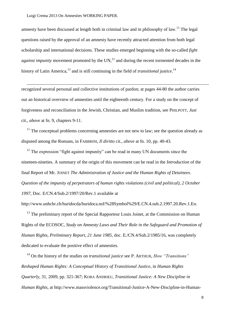-

amnesty have been discussed at length both in criminal law and in philosophy of law.<sup>11</sup> The legal questions raised by the approval of an amnesty have recently attracted attention from both legal scholarship and international decisions. These studies emerged beginning with the so-called *fight against impunity* movement promoted by the UN,<sup>12</sup> and during the recent tormented decades in the history of Latin America,<sup>13</sup> and is still continuing in the field of *transitional justice*.<sup>14</sup>

recognized several personal and collective institutions of pardon; at pages 44-80 the author carries out an historical overview of amnesties until the eighteenth century. For a study on the concept of forgiveness and reconciliation in the Jewish, Christian, and Muslim tradition, see PHILPOTT, *Just*  cit., *above* at fn. [9,](#page-7-0) chapters 9-11.

 $11$  The conceptual problems concerning amnesties are not new to law; see the question already as disputed among the Romans, in FABBRINI, *Il diritto* cit., *above* at fn. 10, pp. 40-43.

 $12$  The expression "fight against impunity" can be read in many UN documents since the nineteen-nineties. A summary of the origin of this movement can be read in the *Introduction* of the final Report of Mr. JOINET *The Administration of Justice and the Human Rights of Detainees*. *Question of the impunity of perpetrators of human rights violations (civil and political)*, *2 October 1997,* Doc. E/CN.4/Sub.2/1997/20/Rev.1 available at

http://www.unhchr.ch/huridocda/huridoca.nsf/%28Symbol%29/E.CN.4.sub.2.1997.20.Rev.1.En.

 $13$  The preliminary report of the Special Rapporteur Louis Joinet, at the Commission on Human Rights of the ECOSOC, *Study on Amnesty Laws and Their Role in the Safeguard and Promotion of Human Rights*, *Preliminary Report*, *21 June 1985*, doc. E./CN.4/Sub.2/1985/16, was completely dedicated to evaluate the positive effect of amnesties.

<sup>14</sup> On the history of the studies on *transitional justice* see P. ARTHUR, *How "Transitions" Reshaped Human Rights: A Conceptual History of Transitional Justice*, in *Human Rights Quarterly*, 31, 2009, pp. 321-367; KORA ANDRIEU, *Transitional Justice: A New Discipline in Human Rights*, at http://www.massviolence.org/Transitional-Justice-A-New-Discipline-in-Human-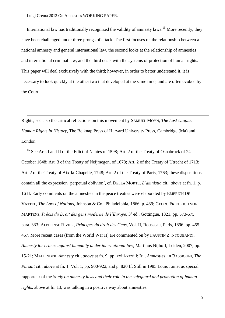-

International law has traditionally recognized the validity of amnesty laws.<sup>15</sup> More recently, they have been challenged under three prongs of attack. The first focuses on the relationship between a national amnesty and general international law, the second looks at the relationship of amnesties and international criminal law, and the third deals with the systems of protection of human rights. This paper will deal exclusively with the third; however, in order to better understand it, it is necessary to look quickly at the other two that developed at the same time, and are often evoked by the Court.

Rights; see also the critical reflections on this movement by SAMUEL MOYN, *The Last Utopia. Human Rights in History*, The Belknap Press of Harvard University Press, Cambridge (Ma) and London.

<sup>15</sup> See Arts I and II of the Edict of Nantes of 1598; Art. 2 of the Treaty of Osnabruck of 24 October 1648; Art. 3 of the Treaty of Neijmegen, of 1678; Art. 2 of the Treaty of Utrecht of 1713; Art. 2 of the Treaty of Aix-la-Chapelle, 1748; Art. 2 of the Treaty of Paris, 1763; these dispositions contain all the expression *"*perpetual oblivion*"*, cf. DELLA MORTE, *L"amnistia* cit., *above* at fn. 1, p. 16 ff. Early comments on the amnesties in the peace treaties were elaborated by EMERICH DE VATTEL, *The Law of Nations*, Johnson & Co., Philadelphia, 1866, p. 439; GEORG FRIEDRICH VON MARTENS, *Précis du Droit des gens moderne de l'Europe*, 3<sup>a</sup> ed., Gottingue, 1821, pp. 573-575, para. 333; ALPHONSE RIVIER, *Principes du droit des Gens*, Vol. II, Rousseau, Paris, 1896, pp. 455- 457. More recent cases (from the World War II) are commented on by FAUSTIN Z. NTOUBANDI, *Amnesty for crimes against humanity under international law*, Martinus Nijhoff, Leiden, 2007, pp. 15-21; MALLINDER, *Amnesty* cit., *above* at fn. 9, pp. xxiii-xxxiii; ID., *Amnesties*, in BASSIOUNI, *The Pursuit* cit., *above* at fn. 1, Vol. 1, pp. 900-922, and p. 820 ff. Still in 1985 Louis Joinet as special rapporteur of the *Study on amnesty laws and their role in the safeguard and promotion of human rights*, above at fn. 13, was talking in a positive way about amnesties.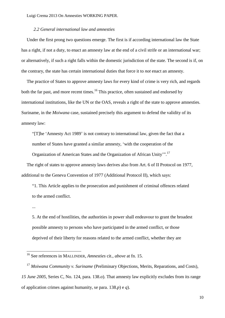## *2.2 General international law and amnesties*

Under the first prong two questions emerge. The first is if according international law the State has a right, if not a duty, to enact an amnesty law at the end of a civil strife or an international war; or alternatively, if such a right falls within the domestic jurisdiction of the state. The second is if, on the contrary, the state has certain international duties that force it to *not* enact an amnesty.

The practice of States to approve amnesty laws for every kind of crime is very rich, and regards both the far past, and more recent times.<sup>16</sup> This practice, often sustained and endorsed by international institutions, like the UN or the OAS, reveals a right of the state to approve amnesties. Suriname, in the *Moiwana* case, sustained precisely this argument to defend the validity of its amnesty law:

―[T]he ‗Amnesty Act 1989' is not contrary to international law, given the fact that a number of States have granted a similar amnesty, 'with the cooperation of the

Organization of American States and the Organization of African Unity".<sup>17</sup>

The right of states to approve amnesty laws derives also from Art. 6 of II Protocol on 1977, additional to the Geneva Convention of 1977 (Additional Protocol II), which says:

―1. This Article applies to the prosecution and punishment of criminal offences related to the armed conflict.

...

<u>.</u>

5. At the end of hostilities, the authorities in power shall endeavour to grant the broadest possible amnesty to persons who have participated in the armed conflict, or those deprived of their liberty for reasons related to the armed conflict, whether they are

<sup>16</sup> See references in MALLINDER, *Amnesties* cit., *above* at fn. 15.

<sup>17</sup> *Moiwana Community v. Suriname* (Preliminary Objections, Merits, Reparations, and Costs), *15 June 2005*, Series C, No. 124, para. 138.*o*). That amnesty law explicitly excludes from its range of application crimes against humanity, se para. 138.*p*) e *q*).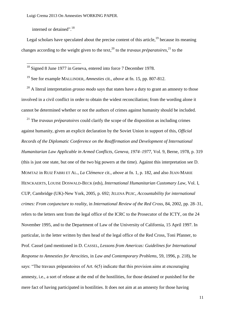interned or detained".<sup>18</sup>

-

Legal scholars have speculated about the precise content of this article, <sup>19</sup> because its meaning changes according to the weight given to the text,<sup>20</sup> to the *travaux préparatoires*,<sup>21</sup> to the

 $18$  Signed 8 June 1977 in Geneva, entered into force 7 December 1978.

<sup>19</sup> See for example MALLINDER, *Amnesties* cit., *above* at fn. 15, pp. 807-812.

<sup>20</sup> A literal interpretation *grosso modo* says that states have a duty to grant an amnesty to those involved in a civil conflict in order to obtain the widest reconciliation; from the wording alone it cannot be determined whether or not the authors of crimes against humanity should be included.

<sup>21</sup> The *travaux préparatoires* could clarify the scope of the disposition as including crimes against humanity, given an explicit declaration by the Soviet Union in support of this, *Official Records of the Diplomatic Conference on the Reaffirmation and Development of International Humanitarian Law Applicable in Armed Conflicts, Geneva, 1974–1977*, Vol. 9, Berne, 1978, p. 319 (this is just one state, but one of the two big powers at the time). Against this interpretation see D. MOMTAZ in RUIZ FABRI ET AL., *La Clémence* cit., *above* at fn. [1,](#page-3-0) p. 182, and also JEAN-MARIE HENCKAERTS, LOUISE DOSWALD-BECK (eds), *International Humanitarian Customary Law*, Vol. I, CUP, Cambridge (UK)-New York, 2005, p. 692; JELENA PEJIC, *Accountability for international crimes: From conjuncture to reality*, in *International Review of the Red Cross*, 84, 2002, pp. 28–31, refers to the letters sent from the legal office of the ICRC to the Prosecutor of the ICTY, on the 24 November 1995, and to the Department of Law of the University of California, 15 April 1997. In particular, in the letter written by then head of the legal office of the Red Cross, Toni Pfanner, to Prof. Cassel (and mentioned in D. CASSEL, *Lessons from Americas: Guidelines for International Response to Amnesties for Atrocities*, in *Law and Contemporary Problems*, 59, 1996, p. 218), he says: "The travaux préparatoires of Art.  $6(5)$  indicate that this provision aims at encouraging amnesty, i.e., a sort of release at the end of the hostilities, for those detained or punished for the mere fact of having participated in hostilities. It does not aim at an amnesty for those having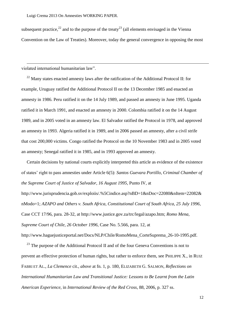subsequent practice,<sup>22</sup> and to the purpose of the treaty<sup>23</sup> (all elements envisaged in the Vienna Convention on the Law of Treaties). Moreover, today the general convergence in opposing the most

violated international humanitarian law".

-

<sup>22</sup> Many states enacted amnesty laws after the ratification of the Additional Protocol II: for example, Uruguay ratified the Additional Protocol II on the 13 December 1985 and enacted an amnesty in 1986. Peru ratified it on the 14 July 1989, and passed an amnesty in June 1995. Uganda ratified it in March 1991, and enacted an amnesty in 2000. Colombia ratified it on the 14 August 1989, and in 2005 voted in an amnesty law. El Salvador ratified the Protocol in 1978, and approved an amnesty in 1993. Algeria ratified it in 1989, and in 2006 passed an amnesty, after a civil strife that cost 200,000 victims. Congo ratified the Protocol on the 10 November 1983 and in 2005 voted an amnesty; Senegal ratified it in 1985, and in 1993 approved an amnesty.

Certain decisions by national courts explicitly interpreted this article as evidence of the existence of states' right to pass amnesties under Article 6(5): *Santos Guevara Portillo, Criminal Chamber of the Supreme Court of Justice of Salvador, 16 August 1995*, Punto IV, at

http://www.jurisprudencia.gob.sv/exploiis/.%5Cindice.asp?nBD=1&nDoc=22080&nItem=22082& nModo=1; *AZAPO and Others v. South Africa, Constitutional Court of South Africa, 25 July 1996*, Case CCT 17/96, para. 28-32, at http://www.justice.gov.za/trc/legal/azapo.htm; *Romo Mena, Supreme Court of Chile, 26 October 1996*, Case No. 5.566, para. 12, at http://www.haguejusticeportal.net/Docs/NLP/Chile/RomoMena\_CorteSuprema\_26-10-1995.pdf.

 $^{23}$  The purpose of the Additional Protocol II and of the four Geneva Conventions is not to prevent an effective protection of human rights, but rather to enforce them, see PHILIPPE X., in RUIZ FABRI ET AL., *La Clemence* cit., *above* at fn. 1, p. 180, ELIZABETH G. SALMON, *Reflections on International Humanitarian Law and Transitional Justice: Lessons to Be Learnt from the Latin American Experience*, in *International Review of the Red Cross*, 88, 2006, p. 327 ss.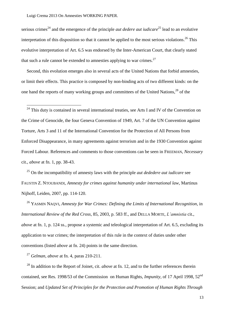<u>.</u>

serious crimes<sup>24</sup> and the emergence of the principle *aut dedere aut iudicare*<sup>25</sup> lead to an evolutive interpretation of this disposition so that it cannot be applied to the most serious violations.<sup>26</sup> This evolutive interpretation of Art. 6.5 was endorsed by the Inter-American Court, that clearly stated that such a rule cannot be extended to amnesties applying to war crimes.<sup>27</sup>

Second, this evolution emerges also in several acts of the United Nations that forbid amnesties, or limit their effects. This practice is composed by non-binding acts of two different kinds: on the one hand the reports of many working groups and committees of the United Nations,<sup>28</sup> of the

 $24$  This duty is contained in several international treaties, see Arts I and IV of the Convention on the Crime of Genocide, the four Geneva Convention of 1949, Art. 7 of the UN Convention against Torture, Arts 3 and 11 of the International Convention for the Protection of All Persons from Enforced Disappearance, in many agreements against terrorism and in the 1930 Convention against Forced Labour. References and comments to those conventions can be seen in FREEMAN, *Necessary*  cit., *above* at fn. 1, pp. 38-43.

<sup>25</sup> On the incompatibility of amnesty laws with the principle *aut dededere aut iudicare* see FAUSTIN Z. NTOUBANDI, *Amnesty for crimes against humanity under international law*, Martinus Nijhoff, Leiden, 2007, pp. 114-120.

<sup>26</sup> YASMIN NAQVI, *Amnesty for War Crimes: Defining the Limits of International Recognition*, in *International Review of the Red Cross*, 85, 2003, p. 583 ff., and DELLA MORTE, *L"amnistia* cit., *above* at fn. 1, p. 124 ss., propose a systemic and teleological interpretation of Art. 6.5, excluding its application to war crimes; the interpretation of this rule in the context of duties under other conventions (listed *above* at fn. 24) points in the same direction.

<sup>27</sup> *Gelman*, *above* at fn. 4, paras 210-211.

<sup>28</sup> In addition to the Report of Joinet, cit. *above* at fn. 12, and to the further references therein contained, see Res. 1998/53 of the Commission on Human Rights, *Impunity*, of 17 April 1998, 52<sup>nd</sup> Session; and *Updated Set of Principles for the Protection and Promotion of Human Rights Through*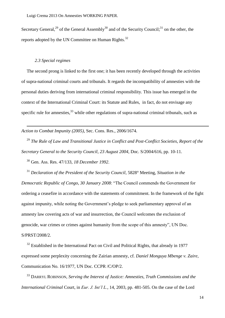Secretary General,<sup>29</sup> of the General Assembly<sup>30</sup> and of the Security Council;<sup>31</sup> on the other, the reports adopted by the UN Committee on Human Rights.<sup>32</sup>

## *2.3 Special regimes*

<u>.</u>

The second prong is linked to the first one; it has been recently developed through the activities of supra-national criminal courts and tribunals. It regards the incompatibility of amnesties with the personal duties deriving from international criminal responsibility. This issue has emerged in the context of the International Criminal Court: its Statute and Rules, in fact, do not envisage any specific rule for amnesties,  $33$  while other regulations of supra-national criminal tribunals, such as

*Action to Combat Impunity (2005)*, Sec. Cons. Res., 2006/1674.

<sup>29</sup> *The Rule of Law and Transitional Justice in Conflict and Post-Conflict Societies*, *Report of the Secretary General to the Security Council*, *23 August 2004*, Doc. S/2004/616, pp. 10-11.

<sup>30</sup> Gen. Ass. Res. 47/133, *18 December 1992*.

<sup>31</sup> *Declaration of the President of the Security Council*, 5828° Meeting, *Situation in the Democratic Republic of Congo, 30 January 2008*: "The Council commends the Government for ordering a ceasefire in accordance with the statements of commitment. In the framework of the fight against impunity, while noting the Government's pledge to seek parliamentary approval of an amnesty law covering acts of war and insurrection, the Council welcomes the exclusion of genocide, war crimes or crimes against humanity from the scope of this amnesty", UN Doc. S/PRST/2008/2.

 $32$  Established in the International Pact on Civil and Political Rights, that already in 1977 expressed some perplexity concerning the Zairian amnesty, cf. *Daniel Monguya Mbenge v. Zaire*, Communication No. 16/1977, UN Doc. CCPR /C/OP/2.

<sup>33</sup> DARRYL ROBINSON, *Serving the Interest of Justice: Amnesties, Truth Commissions and the International Criminal* Court, in *Eur. J. Int"l L.*, 14, 2003, pp. 481-505. On the case of the Lord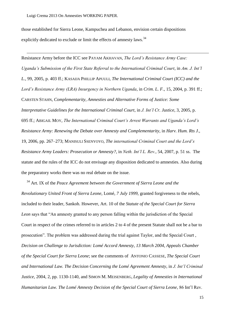-

those established for Sierra Leone, Kampuchea and Lebanon, envision certain dispositions explicitly dedicated to exclude or limit the effects of amnesty laws.<sup>34</sup>

Resistance Army before the ICC see PAYAM AKHAVAN, *The Lord"s Resistance Army Case: Uganda"s Submission of the First State Referral to the International Criminal Court*, in *Am. J. Int"l L.*, 99, 2005, p. 403 ff.; KASAIJA PHILLIP APUULI, *The International Criminal Court (ICC) and the Lord"s Resistance Army (LRA) Insurgency in Northern Uganda*, in *Crim. L. F.*, 15, 2004, p. 391 ff.; CARSTEN STAHN, *Complementarity, Amnesties and Alternative Forms of Justice: Some Interpretative Guidelines for the International Criminal Court*, in *J. Int"l Cr. Justice*, 3, 2005, p. 695 ff.; ABIGAIL MOY, *The International Criminal Court"s Arrest Warrants and Uganda"s Lord"s Resistance Army: Renewing the Debate over Amnesty and Complementarity*, in *Harv. Hum. Rts J.*, 19, 2006, pp. 267–273; MANISULI SSENYOYO, *The international Criminal Court and the Lord"s Resistance Army Leaders: Prosecution or Amnesty?*, in *Neth. Int"l L. Rev.*, 54, 2007, p. 51 ss. The statute and the rules of the ICC do not envisage any disposition dedicated to amnesties. Also during the preparatory works there was no real debate on the issue.

<sup>34</sup> Art. IX of the *Peace Agreement between the Government of Sierra Leone and the Revolutionary United Front of Sierra Leone*, Lomé, *7 July 1999*, granted forgiveness to the rebels, included to their leader, Sankoh. However, Art. 10 of the *Statute of the Special Court for Sierra*  Leon says that "An amnesty granted to any person falling within the jurisdiction of the Special Court in respect of the crimes referred to in articles 2 to 4 of the present Statute shall not be a bar to prosecution". The problem was addressed during the trial against Taylor, and the Special Court, *Decision on Challenge to Jurisdiction: Lomé Accord Amnesty, 13 March 2004, Appeals Chamber of the Special Court for Sierra Leone*; see the comments of ANTONIO CASSESE, *The Special Court and International Law. The Decision Concerning the Lomé Agreement Amnesty*, in *J. Int"l Criminal Justice*, 2004, 2, pp. 1130-1140, and SIMON M. MEISENBERG, *Legality of Amnesties in International Humanitarian Law. The Lomé Amnesty Decision of the Special Court of Sierra Leone*, 86 Int'l Rev.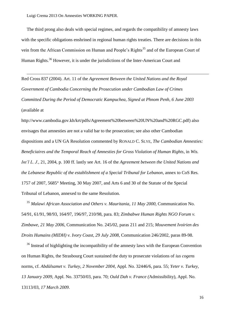<u>.</u>

The third prong also deals with special regimes, and regards the compatibility of amnesty laws with the specific obligations enshrined in regional human rights treaties. There are decisions in this vein from the African Commission on Human and People's Rights<sup>35</sup> and of the European Court of Human Rights.<sup>36</sup> However, it is under the jurisdictions of the Inter-American Court and

Red Cross 837 (2004). Art. 11 of the *Agreement Between the United Nations and the Royal Government of Cambodia Concerning the Prosecution under Cambodian Law of Crimes Committed During the Period of Democratic Kampuchea, Signed at Phnom Penh, 6 June 2003*  (available at

http://www.cambodia.gov.kh/krt/pdfs/Agreement%20between%20UN%20and%20RGC.pdf) also envisages that amnesties are not a valid bar to the prosecution; see also other Cambodian dispositions and a UN GA Resolution commented by RONALD C. SLYE, *The Cambodian Amnesties: Beneficiaires and the Temporal Reach of Amnesties for Gross Violation of Human Rights*, in *Wis. Int"l L. J.*, 21, 2004, p. 100 ff. lastly see Art. 16 of the *Agreement between the United Nations and the Lebanese Republic of the establishment of a Special Tribunal for Lebanon*, annex to CoS Res. 1757 of 2007, 5685° Meeting, 30 May 2007, and Arts 6 and 30 of the Statute of the Special Tribunal of Lebanon, annexed to the same Resolution.

<sup>35</sup> *Malawi African Association and Others v. Mauritania*, *11 May 2000,* Communication No. 54/91, 61/91, 98/93, 164/97, 196/97, 210/98, para. 83; *Zimbabwe Human Rights NGO Forum v. Zimbawe*, *21 May 2006*, Communication No. 245/02, paras 211 and 215; *Mouvement Ivoirien des Droits Humains (MIDH) v. Ivory Coast*, *29 July 2008*, Communication 246/2002, paras 89-98.

<sup>36</sup> Instead of highlighting the incompatibility of the amnesty laws with the European Convention on Human Rights, the Strasbourg Court sustained the duty to prosecute violations of *ius cogens*  norms, cf. *Abdülsamet v. Turkey*, *2 November 2004*, Appl. No. 32446/6, para. 55; *Yeter v. Turkey, 13 January 2009*, Appl. No. 33750/03, para. 70; *Ould Dah v. France (*Admissibility), Appl. No. 13113/03, *17 March 2009*.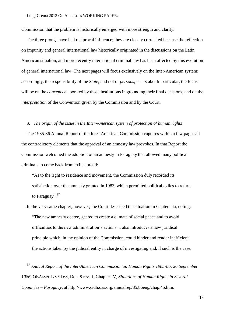Commission that the problem is historically emerged with more strength and clarity.

The three prongs have had reciprocal influence; they are closely correlated because the reflection on impunity and general international law historically originated in the discussions on the Latin American situation, and more recently international criminal law has been affected by this evolution of general international law. The next pages will focus exclusively on the Inter-American system; accordingly, the responsibility of the *State*, and not of *persons*, is at stake. In particular, the focus will be on the *concepts* elaborated by those institutions in grounding their final decisions, and on the *interpretation* of the Convention given by the Commission and by the Court.

## <span id="page-17-0"></span>*3. The origin of the issue in the Inter-American system of protection of human rights*

The 1985-86 Annual Report of the Inter-American Commission captures within a few pages all the contradictory elements that the approval of an amnesty law provokes. In that Report the Commission welcomed the adoption of an amnesty in Paraguay that allowed many political criminals to come back from exile abroad:

"As to the right to residence and movement, the Commission duly recorded its satisfaction over the amnesty granted in 1983, which permitted political exiles to return to Paraguay".<sup>37</sup>

In the very same chapter, however, the Court described the situation in Guatemala, noting: ―The new amnesty decree, geared to create a climate of social peace and to avoid difficulties to the new administration's actions ... also introduces a new juridical principle which, in the opinion of the Commission, could hinder and render inefficient the actions taken by the judicial entity in charge of investigating and, if such is the case,

<sup>37</sup> *Annual Report of the Inter-American Commission on Human Rights 1985-86*, *26 September 1986*, OEA/Ser.L/V/II.68, Doc. 8 rev. 1, Chapter IV, *Situations of Human Rights in Several Countries – Paraguay*, at http://www.cidh.oas.org/annualrep/85.86eng/chap.4b.htm.

-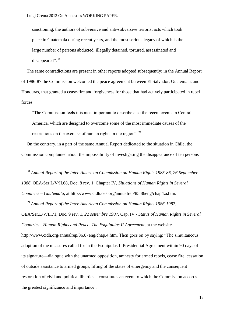-

sanctioning, the authors of subversive and anti-subversive terrorist acts which took place in Guatemala during recent years, and the most serious legacy of which is the large number of persons abducted, illegally detained, tortured, assassinated and disappeared".<sup>38</sup>

The same contradictions are present in other reports adopted subsequently: in the Annual Report of 1986-87 the Commission welcomed the peace agreement between El Salvador, Guatemala, and Honduras, that granted a cease-fire and forgiveness for those that had actively participated in rebel forces:

―The Commission feels it is most important to describe also the recent events in Central America, which are designed to overcome some of the most immediate causes of the restrictions on the exercise of human rights in the region".<sup>39</sup>

On the contrary, in a part of the same Annual Report dedicated to the situation in Chile, the Commission complained about the impossibility of investigating the disappearance of ten persons

<sup>38</sup> *Annual Report of the Inter-American Commission on Human Rights 1985-86*, *26 September 1986*, OEA/Ser.L/V/II.68, Doc. 8 rev. 1, Chapter IV, *Situations of Human Rights in Several Countries – Guatemala*, at http://www.cidh.oas.org/annualrep/85.86eng/chap4.a.htm.

<sup>39</sup> *Annual Report of the Inter-American Commission on Human Rights 1986-1987*, OEA/Ser.L/V/II.71, Doc. 9 rev. 1, *22 settembre 1987*, Cap. IV - *Status of Human Rights in Several Countries - Human Rights and Peace. The Esquipulas II Agreement*, at the website http://www.cidh.org/annualrep/86.87eng/chap.4.htm. Then goes on by saying: "The simultaneous adoption of the measures called for in the Esquipulas II Presidential Agreement within 90 days of its signature—dialogue with the unarmed opposition, amnesty for armed rebels, cease fire, cessation of outside assistance to armed groups, lifting of the states of emergency and the consequent restoration of civil and political liberties—constitutes an event to which the Commission accords the greatest significance and importance".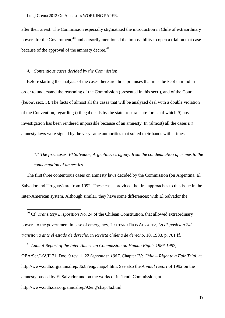after their arrest. The Commission especially stigmatized the introduction in Chile of extraordinary powers for the Government,<sup>40</sup> and cursorily mentioned the impossibility to open a trial on that case because of the approval of the amnesty decree.<sup>41</sup>

#### *4. Contentious cases decided by the Commission*

<u>.</u>

Before starting the analysis of the cases there are three premises that must be kept in mind in order to understand the reasoning of the Commission (presented in this sect.), and of the Court (*below*, sect. 5). The facts of almost all the cases that will be analyzed deal with a double violation of the Convention, regarding *i*) illegal deeds by the state or para-state forces of which *ii*) any investigation has been rendered impossible because of an amnesty. In (almost) all the cases *iii*) amnesty laws were signed by the very same authorities that soiled their hands with crimes.

# *4.1 The first cases. El Salvador, Argentina, Uruguay: from the condemnation of crimes to the condemnation of amnesties*

The first three contentious cases on amnesty laws decided by the Commission (on Argentina, El Salvador and Uruguay) are from 1992. These cases provided the first approaches to this issue in the Inter-American system. Although similar, they have some differences: with El Salvador the

<sup>40</sup> Cf. *Transitory Disposition* No. 24 of the Chilean Constitution, that allowed extraordinary powers to the government in case of emergency, LAUTARO RIOS ALVAREZ, *La disposicion 24<sup>a</sup> transitoria ante el estado de derecho*, in *Revista chilena de derecho*, 10, 1983, p. 781 ff.

<sup>41</sup> *Annual Report of the Inter-American Commission on Human Rights 1986-1987*, OEA/Ser.L/V/II.71, Doc. 9 rev. 1, *22 September 1987*, Chapter IV: *Chile – Right to a Fair Trial*, at http://www.cidh.org/annualrep/86.87eng/chap.4.htm. See also the *Annual report* of 1992 on the amnesty passed by El Salvador and on the works of its Truth Commission, at http://www.cidh.oas.org/annualrep/92eng/chap.4a.html.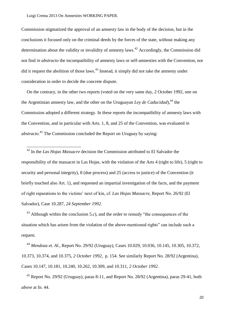-

Commission stigmatized the approval of an amnesty law in the body of the decision, but in the conclusions it focused only on the criminal deeds by the forces of the state, without making any determination about the validity or invalidity of amnesty laws.<sup>42</sup> Accordingly, the Commission did not find *in abstracto* the incompatibility of amnesty laws or self-amnesties with the Convention, nor did it request the abolition of those laws.<sup>43</sup> Instead, it simply did not take the amnesty under consideration in order to decide the concrete dispute.

<span id="page-20-0"></span>On the contrary, in the other two reports (voted on the very same day, 2 October 1992, one on the Argentinian amnesty law, and the other on the Uruguayan *Ley de Caducidad*),<sup>44</sup> the Commission adopted a different strategy. In these reports the incompatibility of amnesty laws with the Convention, and in particular with Arts. 1, 8, and 25 of the Convention, was evaluated *in abstracto*. <sup>45</sup> The Commission concluded the Report on Uruguay by saying:

<sup>42</sup> In the *Las Hojas Massacre* decision the Commission attributed to El Salvador the responsibility of the massacre in Las Hojas, with the violation of the Arts 4 (right to life), 5 (right to security and personal integrity), 8 (due process) and 25 (access to justice) of the Convention (it briefly touched also Art. 1), and requested an impartial investigation of the facts, and the payment of right reparations to the victims' next of kin, cf. *Las Hojas Massacre*, Report No. 26/92 (El Salvador), Case 10.287, *24 September 1992*.

 $43$  Although within the conclusion 5.*c*), and the order to remedy "the consequences of the situation which has arisen from the violation of the above-mentioned rights" can include such a request.

<sup>44</sup> *Mendoza et. Al.*, Report No. 29/92 (Uruguay), Cases 10.029, 10.036, 10.145, 10.305, 10.372, 10.373, 10.374, and 10.375, *2 October 1992*, p. 154. See similarly Report No. 28/92 (Argentina), Cases 10.147, 10.181, 10.240, 10.262, 10.309, and 10.311, *2 October 1992*.

 $45$  Report No. 29/92 (Uruguay), paras 8-11, and Report No. 28/92 (Argentina), paras 29-41, both *above* at fn. 44.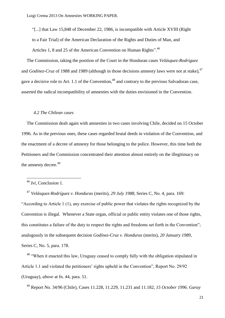―[...] that Law 15,848 of December 22, 1986, is incompatible with Article XVIII (Right to a Fair Trial) of the American Declaration of the Rights and Duties of Man, and Articles 1, 8 and 25 of the American Convention on Human Rights".<sup>46</sup>

The Commission, taking the position of the Court in the Honduran cases *Velásquez-Rodriguez*  and *Godínez-Cruz* of 1988 and 1989 (although in those decisions amnesty laws were not at stake),<sup>47</sup> gave a decisive role to Art. 1.1 of the Convention.<sup>48</sup> and contrary to the previous Salvadoran case, asserted the radical incompatibility of amnesties with the duties envisioned in the Convention.

#### *4.2 The Chilean cases*

The Commission dealt again with amnesties in two cases involving Chile, decided on 15 October 1996. As in the previous ones, these cases regarded brutal deeds in violation of the Convention, and the enactment of a decree of amnesty for those belonging to the police. However, this time both the Petitioners and the Commission concentrated their attention almost entirely on the illegitimacy on the amnesty decree.<sup>49</sup>

-

<sup>47</sup> *Velásquez-Rodríguez v. Honduras* (merits), *29 July 1988*, Series C, No. 4, para. 169: ―According to Article 1 (1), any exercise of public power that violates the rights recognized by the Convention is illegal. Whenever a State organ, official or public entity violates one of those rights, this constitutes a failure of the duty to respect the rights and freedoms set forth in the Convention"; analogously in the subsequent decision *Godínez-Cruz v. Honduras* (merits), *20 January 1989*, Series C, No. 5, para. 178.

<sup>48</sup> "When it enacted this law, Uruguay ceased to comply fully with the obligation stipulated in Article 1.1 and violated the petitioners' rights upheld in the Convention", Report No. 29/92 (Uruguay), *above* at fn. [44,](#page-20-0) para. 51.

<sup>49</sup> Report No. 34/96 (Chile), Cases 11.228, 11.229, 11.231 and 11.182, *15 October 1996*. *Garay* 

<sup>46</sup> *Ivi*, Conclusion 1.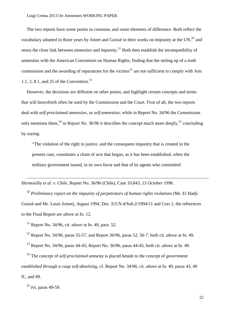The two reports have some points in common, and some elements of difference. Both reflect the vocabulary adopted in those years by Joinet and Guissé in their works on impunity at the UN.<sup>50</sup> and stress the close link between *amnesties* and *impunity*. <sup>51</sup> Both then establish the incompatibility of amnesties with the American Convention on Human Rights, finding that the setting up of a truth commission and the awarding of reparations for the victims<sup>52</sup> are not sufficient to comply with Arts 1.1, 2, 8.1, and 25 of the Convention. 53

However, the decisions are different on other points, and highlight certain concepts and terms that will henceforth often be used by the Commission and the Court. First of all, the two reports deal with *self-proclaimed amnesties*, or *self-amnesties*: while in Report No. 34/96 the Commission only mentions them,<sup>54</sup> in Report No. 36/96 it describes the concept much more deeply,<sup>55</sup> concluding by saying:

―The violation of the right to justice, and the consequent impunity that is created in the present case, constitutes a chain of acts that began, as it has been established, when the military government issued, in its own favor and that of its agents who committed

*Hermosilla et al. v. Chile*, Report No. 36/96 (Chile), Case 10.843, *15 October 1996*.

<sup>50</sup> *Preliminary report on the impunity of perpetrators of human rights violations* (Mr. El Hadji Guissé and Mr. Louis Joinet), *August 1994*, Doc. E/CN.4/Sub.2/1994/11 and Corr.1; the references to the Final Report are *above* at fn. 12.

<sup>51</sup> Report No. 34/96, cit. *above* at fn. 49, para. 52.

<sup>52</sup> Report No. 34/96, paras 55-57, and Report 36/96, paras 52, 56-7, both cit. *above* at fn. 49.

<sup>53</sup> Report No. 34/96, paras 44-45; Report No. 36/96, paras 44-45, both cit. *above* at fn. 49.

<sup>54</sup> The concept of *self-proclaimed amnesty* is placed beside to the concept of *government established through a coup self-absolving*, cf. Report No. 34/96, cit. *above* at fn. 49, paras 43, 49 ff., and 89.

<sup>55</sup> *Ivi*, paras 49-59.

-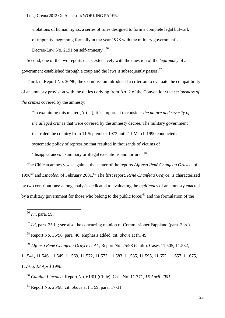violations of human rights, a series of rules designed to form a complete legal bulwark of impunity, beginning formally in the year 1978 with the military government's Decree-Law No. 2191 on self-amnesty".<sup>56</sup>

Second, one of the two reports deals extensively with the question of the *legitimacy* of a government established through a coup and the laws it subsequently passes.<sup>57</sup>

Third, in Report No. 36/96, the Commission introduced a criterion to evaluate the compatibility of an amnesty provision with the duties deriving from Art. 2 of the Convention: the *seriousness of the crimes* covered by the amnesty:

―In examining this matter [Art. 2], it is important to consider *the nature and severity of the alleged crimes* that were covered by the amnesty decree. The military government that ruled the country from 11 September 1973 until 11 March 1990 conducted a systematic policy of repression that resulted in thousands of victims of

'disappearances', summary or illegal executions and torture".<sup>58</sup>

<span id="page-23-0"></span>The Chilean amnesty was again at the center of the reports *Alfonso René Chanfeau Orayce*, of 1998<sup>59</sup> and *Lincoleo*, of February 2001.<sup>60</sup> The first report, *René Chanfeau Orayce,* is characterized by two contributions: a long analysis dedicated to evaluating the *legitimacy* of an amnesty enacted by a military government for those who belong to the public force;<sup>61</sup> and the formulation of the

<u>.</u>

<sup>59</sup> *Alfonso René Chanfeau Orayce et Al.*, Report No. 25/98 (Chile), Cases 11.505, 11.532,

11.541, 11.546, 11.549, 11.569, 11.572, 11.573, 11.583, 11.585, 11.595, 11.652, 11.657, 11.675, 11.705, *13 April 1998*.

<sup>60</sup> *Catalan Lincoleo*, Report No. 61/01 (Chile), Case No. 11.771, *16 April 2001*.

<sup>61</sup> Report No. 25/98, cit. *above* at fn. 59, para. 17-31.

<sup>56</sup> *Ivi*, para. 59.

<sup>57</sup> *Ivi*, para. 25 ff.; see also the concurring opinion of Commissioner Fappiano (para. 2 ss.).

<sup>58</sup> Report No. 36/96, para. 46, emphasis added, cit. *above* at fn. 49.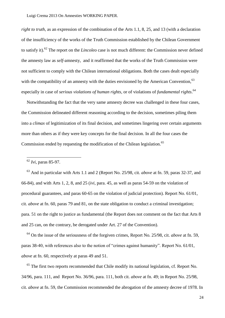*right to truth*, as an expression of the combination of the Arts 1.1, 8, 25, and 13 (with a declaration of the insufficiency of the works of the Truth Commission established by the Chilean Government to satisfy it). <sup>62</sup> The report on the *Lincoleo* case is not much different: the Commission never defined the amnesty law as *self-*amnesty, and it reaffirmed that the works of the Truth Commission were not sufficient to comply with the Chilean international obligations. Both the cases dealt especially with the compatibility of an amnesty with the duties envisioned by the American Convention.<sup>63</sup> especially in case of *serious violations of human rights*, or of violations of *fundamental rights*. 64

Notwithstanding the fact that the very same amnesty decree was challenged in these four cases, the Commission delineated different reasoning according to the decision, sometimes piling them into a *climax* of legitimization of its final decision, and sometimes lingering over certain arguments more than others as if they were key concepts for the final decision. In all the four cases the Commission ended by requesting the modification of the Chilean legislation.<sup>65</sup>

<u>.</u>

<sup>63</sup> And in particular with Arts 1.1 and 2 (Report No. 25/98, cit. *above* at fn. 59, paras 32-37, and 66-84), and with Arts 1, 2, 8, and 25 (*ivi*, para. 45, as well as paras 54-59 on the violation of procedural guarantees, and paras 60-65 on the violation of judicial protection). Report No. 61/01, cit. *above* at fn. 60, paras 79 and 81, on the state obligation to conduct a criminal investigation; para. 51 on the right to justice as fundamental (the Report does not comment on the fact that Arts 8 and 25 can, on the contrary, be derogated under Art. 27 of the Convention).

<sup>64</sup> On the issue of the seriousness of the forgiven crimes, Report No. 25/98, cit. *above* at fn. 59, paras 38-40, with references also to the notion of "crimes against humanity". Report No. 61/01, *above* at fn. 60, respectively at paras 49 and 51.

 $65$  The first two reports recommended that Chile modify its national legislation, cf. Report No. 34/96, para. 111, and Report No. 36/96, para. 111, both cit. *above* at fn. 49; in Report No. 25/98, cit. *above* at fn. 59, the Commission recommended the abrogation of the amnesty decree of 1978. In

<sup>62</sup> *Ivi*, paras 85-97.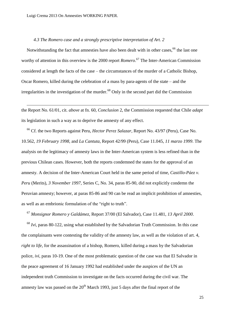<u>.</u>

### *4.3 The Romero case and a strongly prescriptive interpretation of Art. 2*

Notwithstanding the fact that amnesties have also been dealt with in other cases,<sup>66</sup> the last one worthy of attention in this overview is the 2000 report *Romero*. <sup>67</sup> The Inter-American Commission considered at length the facts of the case – the circumstances of the murder of a Catholic Bishop, Oscar Romero, killed during the celebration of a mass by para-agents of the state – and the irregularities in the investigation of the murder.<sup>68</sup> Only in the second part did the Commission

the Report No. 61/01, cit. *above* at fn. 60, *Conclusion* 2, the Commission requested that Chile *adapt*  its legislation in such a way as to deprive the amnesty of any effect.

<sup>66</sup> Cf. the two Reports against Peru, *Hector Perez Salazar*, Report No. 43/97 (Peru), Case No. 10.562, *19 February 1998*, and *La Cantuta*, Report 42/99 (Peru), Case 11.045, *11 marzo 1999*. The analysis on the legitimacy of amnesty laws in the Inter-American system is less refined than in the previous Chilean cases. However, both the reports condemned the states for the approval of an amnesty. A decision of the Inter-American Court held in the same period of time, *Castillo-Páez v. Peru* (Merits), *3 November 1997*, Series C, No. 34, paras 85-90, did not explicitly condemn the Peruvian amnesty; however, at paras 85-86 and 90 can be read an implicit prohibition of amnesties, as well as an embrionic formulation of the "right to truth".

<sup>67</sup> *Monsignor Romero y Galdámez*, Report 37/00 (El Salvador), Case 11.481, *13 April 2000*.

<sup>68</sup> *Ivi*, paras 80-122, using what established by the Salvadorian Truth Commission. In this case the complainants were contesting the validity of the amnesty law, as well as the violation of art. 4, *right to life*, for the assassination of a bishop, Romero, killed during a mass by the Salvadorian police, *ivi,* paras 10-19. One of the most problematic question of the case was that El Salvador in the peace agreement of 16 January 1992 had established under the auspices of the UN an independent truth Commission to investigate on the facts occurred during the civil war. The amnesty law was passed on the  $20<sup>th</sup>$  March 1993, just 5 days after the final report of the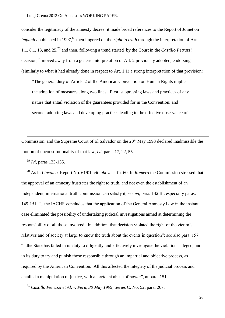consider the legitimacy of the amnesty decree: it made broad references to the Report of Joinet on *impunity* published in 1997.<sup>69</sup> then lingered on the *right to truth* through the interpretation of Arts 1.1, 8.1, 13, and 25,<sup>70</sup> and then, following a trend started by the Court in the *Castillo Petruzzi* decision, $^{71}$  moved away from a generic interpretation of Art. 2 previously adopted, endorsing (similarly to what it had already done in respect to Art. 1.1) a strong interpretation of that provision:

―The general duty of Article 2 of the American Convention on Human Rights implies the adoption of measures along two lines: First, suppressing laws and practices of any nature that entail violation of the guarantees provided for in the Convention; and second, adopting laws and developing practices leading to the effective observance of

Commission, and the Supreme Court of El Salvador on the  $20<sup>th</sup>$  May 1993 declared inadmissible the motion of unconstitutionality of that law, *ivi*, paras 17, 22, 55.

<sup>69</sup> *Ivi*, paras 123-135.

<u>.</u>

<sup>70</sup> As in *Lincoleo*, Report No. 61/01, cit. *above* at fn. 60. In *Romero* the Commission stressed that the approval of an amnesty frustrates the right to truth, and not even the establishment of an independent, international truth commission can satisfy it, see *ivi*, para. 142 ff., especially paras. 149-151: "...the IACHR concludes that the application of the General Amnesty Law in the instant case eliminated the possibility of undertaking judicial investigations aimed at determining the responsibility of all those involved. In addition, that decision violated the right of the victim's relatives and of society at large to know the truth about the events in question"; see also para. 157: ―...the State has failed in its duty to diligently and effectively investigate the violations alleged, and in its duty to try and punish those responsible through an impartial and objective process, as required by the American Convention. All this affected the integrity of the judicial process and entailed a manipulation of justice, with an evident abuse of power", at para. 151.

<sup>71</sup> *Castillo Petruzzi et Al. v. Peru*, *30 May 1999*, Series C, No. 52, para. 207.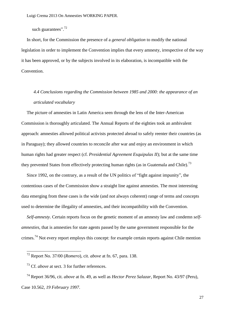such guarantees".<sup>72</sup>

In short, for the Commission the presence of a *general obligation* to modify the national legislation in order to implement the Convention implies that every amnesty, irrespective of the way it has been approved, or by the subjects involved in its elaboration, is incompatible with the Convention.

# *4.4 Conclusions regarding the Commission between 1985 and 2000: the appearance of an articulated vocabulary*

The picture of amnesties in Latin America seen through the lens of the Inter-American Commission is thoroughly articulated. The Annual Reports of the eighties took an ambivalent approach: amnesties allowed political activists protected abroad to safely reenter their countries (as in Paraguay); they allowed countries to reconcile after war and enjoy an environment in which human rights had greater respect (cf. *Presidential Agreement Esquipulas II*); but at the same time they prevented States from effectively protecting human rights (as in Guatemala and Chile).<sup>73</sup>

Since 1992, on the contrary, as a result of the UN politics of "fight against impunity", the contentious cases of the Commission show a straight line against amnesties. The most interesting data emerging from these cases is the wide (and not always coherent) range of terms and concepts used to determine the illegality of amnesties, and their incompatibility with the Convention.

*Self-amnesty*. Certain reports focus on the genetic moment of an amnesty law and condemn *selfamnesties*, that is amnesties for state agents passed by the same government responsible for the crimes.<sup>74</sup> Not every report employs this concept: for example certain reports against Chile mention

<u>.</u>

<sup>72</sup> Report No. 37/00 (*Romero*), cit. *above* at fn. 67, para. 138.

<sup>73</sup> Cf. *above* at sect. [3](#page-17-0) for further references.

<sup>74</sup> Report 36/96, cit. *above* at fn. 49, as well as *Hector Perez Salazar*, Report No. 43/97 (Peru), Case 10.562, *19 February 1997*.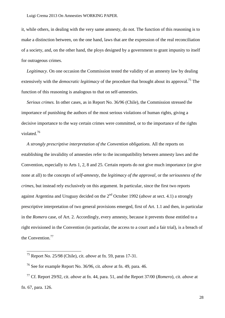it, while others, in dealing with the very same amnesty, do not. The function of this reasoning is to make a distinction between, on the one hand, laws that are the expression of the real reconciliation of a society, and, on the other hand, the ploys designed by a government to grant impunity to itself for outrageous crimes.

*Legitimacy*. On one occasion the Commission tested the validity of an amnesty law by dealing extensively with the *democratic legitimacy* of the procedure that brought about its approval.<sup>75</sup> The function of this reasoning is analogous to that on self-amnesties.

*Serious crimes.* In other cases, as in Report No. 36/96 (Chile), the Commission stressed the importance of punishing the authors of the most serious violations of human rights, giving a decisive importance to the way certain crimes were committed, or to the importance of the rights violated.<sup>76</sup>

*A strongly prescriptive interpretation of the Convention obligations.* All the reports on establishing the invalidity of amnesties refer to the incompatibility between amnesty laws and the Convention, especially to Arts 1, 2, 8 and 25. Certain reports do not give much importance (or give none at all) to the concepts of *self-amnesty*, the *legitimacy of the approval*, or the *seriousness of the crimes*, but instead rely exclusively on this argument. In particular, since the first two reports against Argentina and Uruguay decided on the 2nd October 1992 (*above* at sect. 4.1) a strongly prescriptive interpretation of two general provisions emerged, first of Art. 1.1 and then, in particular in the *Romero* case, of Art. 2. Accordingly, every amnesty, because it prevents those entitled to a right envisioned in the Convention (in particular, the access to a court and a fair trial), is a breach of the Convention.<sup>77</sup>

<u>.</u>

<sup>75</sup> Report No. 25/98 (Chile), cit. *above* at fn. 59, paras 17-31.

<sup>76</sup> See for example Report No. 36/96, cit. *above* at fn. 49, para. 46.

<sup>77</sup> Cf. Report 29/92, cit. *above* at fn. 44*,* para. 51, and the Report 37/00 (*Romero*), cit. *above* at fn. 67, para. 126.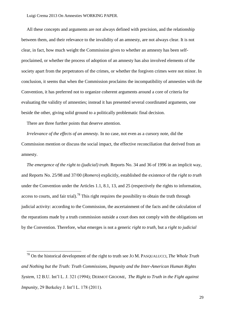All these concepts and arguments are not always defined with precision, and the relationship between them, and their relevance to the invalidity of an amnesty, are not always clear. It is not clear, in fact, how much weight the Commission gives to whether an amnesty has been selfproclaimed, or whether the process of adoption of an amnesty has also involved elements of the society apart from the perpetrators of the crimes, or whether the forgiven crimes were not minor. In conclusion, it seems that when the Commission proclaims the incompatibility of amnesties with the Convention, it has preferred not to organize coherent arguments around a core of criteria for evaluating the validity of amnesties; instead it has presented several coordinated arguments, one beside the other, giving solid ground to a politically problematic final decision.

There are three further points that deserve attention.

<u>.</u>

*Irrelevance of the effects of an amnesty.* In no case, not even as a cursory note, did the Commission mention or discuss the social impact, the effective reconciliation that derived from an amnesty.

*The emergence of the right to (judicial) truth.* Reports No. 34 and 36 of 1996 in an implicit way, and Reports No. 25/98 and 37/00 (*Romero*) explicitly, established the existence of the *right to truth*  under the Convention under the Articles 1.1, 8.1, 13, and 25 (respectively the rights to information, access to courts, and fair trial).<sup>78</sup> This right requires the possibility to obtain the truth through judicial activity: according to the Commission, the ascertainment of the facts and the calculation of the reparations made by a truth commission outside a court does not comply with the obligations set by the Convention. Therefore, what emerges is not a generic *right to truth*, but a *right to judicial* 

<sup>78</sup> On the historical development of the right to truth see JO M. PASQUALUCCI, *The Whole Truth and Nothing but the Truth: Truth Commissions, Impunity and the Inter-American Human Rights System*, 12 B.U. Int'l L. J. 321 (1994); DERMOT GROOME, *The Right to Truth in the Fight against Impunity*, 29 Berkeley J. Int'l L. 178 (2011).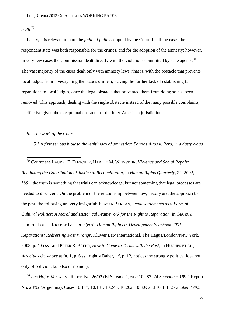# *truth*. 79

<u>.</u>

Lastly, it is relevant to note the *judicial policy* adopted by the Court. In all the cases the respondent state was both responsible for the crimes, and for the adoption of the amnesty; however, in very few cases the Commission dealt directly with the violations committed by state agents. $80$ The vast majority of the cases dealt only with amnesty laws (that is, with the obstacle that prevents local judges from investigating the state's crimes), leaving the further task of establishing fair reparations to local judges, once the legal obstacle that prevented them from doing so has been removed. This approach, dealing with the single obstacle instead of the many possible complaints, is effective given the exceptional character of the Inter-American jurisdiction.

#### *5. The work of the Court*

*5.1 A first serious blow to the legitimacy of amnesties: Barrios Altos v. Peru, in a dusty cloud* 

<sup>79</sup> *Contra* see LAUREL E. FLETCHER, HARLEY M. WEINSTEIN, *Violence and Social Repair: Rethinking the Contribution of Justice to Reconciliation*, in *Human Rights Quarterly*, 24, 2002, p. 589: "the truth is something that trials can acknowledge, but not something that legal processes are needed to discover". On the problem of the relationship between law, history and the approach to the past, the following are very insightful: ELAZAR BARKAN, *Legal settlements as a Form of Cultural Politics: A Moral and Historical Framework for the Right to Reparation*, in GEORGE ULRICH, LOUISE KRABBE BOSERUP (eds), *Human Rights in Development Yearbook 2001. Reparations: Redressing Past Wrongs*, Kluwer Law International, The Hague/London/New York, 2003, p. 405 ss., and PETER R. BAEHR, *How to Come to Terms with the Past*, in HUGHES ET AL., *Atrocities* cit. *above* at fn. 1, p. 6 ss.; rightly Baher, *ivi*, p. 12, notices the strongly political idea not only of oblivion, but also of memory.

<sup>80</sup> *Las Hojas Massacre*, Report No. 26/92 (El Salvador), case 10.287, *24 September 1992*; Report No. 28/92 (Argentina), Cases 10.147, 10.181, 10.240, 10.262, 10.309 and 10.311, *2 October 1992*.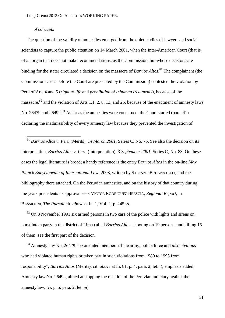# *of concepts*

<u>.</u>

The question of the validity of amnesties emerged from the quiet studies of lawyers and social scientists to capture the public attention on 14 March 2001, when the Inter-American Court (that is of an organ that does not make recommendations, as the Commission, but whose decisions are binding for the state) circulated a decision on the massacre of *Barrios Altos*. <sup>81</sup> The complainant (the Commission: cases before the Court are presented by the Commission) contested the violation by Peru of Arts 4 and 5 (*right to life* and *prohibition of inhuman treatments*), because of the massacre, $82$  and the violation of Arts 1.1, 2, 8, 13, and 25, because of the enactment of amnesty laws No. 26479 and 26492.<sup>83</sup> As far as the amnesties were concerned, the Court started (para. 41) declaring the inadmissibility of every amnesty law because they prevented the investigation of

<sup>81</sup> *Barrios Altos v. Peru* (Merits)*, 14 March 2001,* Series C, No. 75. See also the decision on its interpretation, *Barrios Altos v. Peru* (Interpretation), *3 September 2001*, Series C, No. 83. On these cases the legal literature is broad; a handy reference is the entry *Barrios Altos* in the on-line *Max Planck Encyclopedia of International Law*, 2008, written by STEFANO BRUGNATELLI, and the bibliography there attached. On the Peruvian amnesties, and on the history of that country during the years precedents its approval seek VICTOR RODRÌGUEZ BRESCIA, *Regional Report*, in BASSIOUNI, *The Pursuit* cit. *above* at fn. 1, Vol. 2, p. 245 ss.

 $82$  On 3 November 1991 six armed persons in two cars of the police with lights and sirens on, burst into a party in the district of Lima called *Barrios Altos*, shooting on 19 persons, and killing 15 of them; see the first part of the decision.

<sup>83</sup> Amnesty law No. 26479, "exonerated members of the army, police force and *also civilians* who had violated human rights or taken part in such violations from 1980 to 1995 from responsibility", *Barrios Altos* (Merits), cit. *above* at fn. 81, p. 4, para. 2, let. *i*), emphasis added; Amnesty law No. 26492, aimed at stopping the reaction of the Peruvian judiciary against the amnesty law, *ivi*, p. 5, para. 2, let. *m*).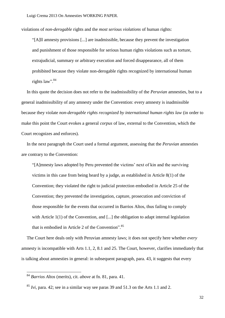violations of *non-derogable* rights and the *most serious violations* of human rights:

―[A]ll amnesty provisions [...] are inadmissible, because they prevent the investigation and punishment of those responsible for serious human rights violations such as torture, extrajudicial, summary or arbitrary execution and forced disappearance, all of them prohibited because they violate non-derogable rights recognized by international human rights law".<sup>84</sup>

In this quote the decision does not refer to the inadmissibility of the *Peruvian* amnesties, but to a general inadmissibility of any amnesty under the Convention: every amnesty is inadmissible because they violate *non-derogable rights recognized by international human rights law* (in order to make this point the Court evokes a general *corpus* of law, external to the Convention, which the Court recognizes and enforces).

In the next paragraph the Court used a formal argument, assessing that the *Peruvian* amnesties are contrary to the Convention:

―[A]mnesty laws adopted by Peru prevented the victims' next of kin and the surviving victims in this case from being heard by a judge, as established in Article 8(1) of the Convention; they violated the right to judicial protection embodied in Article 25 of the Convention; they prevented the investigation, capture, prosecution and conviction of those responsible for the events that occurred in Barrios Altos, thus failing to comply with Article 1(1) of the Convention, and [...] the obligation to adapt internal legislation that is embodied in Article 2 of the Convention".<sup>85</sup>

The Court here deals only with Peruvian amnesty laws; it does not specify here whether *every*  amnesty is incompatible with Arts 1.1, 2, 8.1 and 25. The Court, however, clarifies immediately that is talking about amnesties in general: in subsequent paragraph, para. 43, it suggests that every

<u>.</u>

<sup>84</sup> *Barrios Altos* (merits), cit. *above* at fn. 81, para. 41.

<sup>85</sup> *Ivi*, para. 42; see in a similar way see paras 39 and 51.3 on the Arts 1.1 and 2.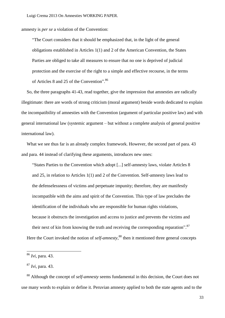amnesty is *per se* a violation of the Convention:

―The Court considers that it should be emphasized that, in the light of the general obligations established in Articles 1(1) and 2 of the American Convention, the States Parties are obliged to take all measures to ensure that no one is deprived of judicial protection and the exercise of the right to a simple and effective recourse, in the terms of Articles 8 and 25 of the Convention".<sup>86</sup>

So, the three paragraphs 41-43, read together, give the impression that amnesties are radically illegitimate: there are words of strong criticism (moral argument) beside words dedicated to explain the incompatibility of amnesties with the Convention (argument of particular positive law) and with general international law (systemic argument – but without a complete analysis of general positive international law).

What we see thus far is an already complex framework. However, the second part of para. 43 and para. 44 instead of clarifying these arguments, introduces new ones:

―States Parties to the Convention which adopt [...] self-amnesty laws, violate Articles 8 and 25, in relation to Articles 1(1) and 2 of the Convention. Self-amnesty laws lead to the defenselessness of victims and perpetuate impunity; therefore, they are manifestly incompatible with the aims and spirit of the Convention. This type of law precludes the identification of the individuals who are responsible for human rights violations, because it obstructs the investigation and access to justice and prevents the victims and their next of kin from knowing the truth and receiving the corresponding reparation".<sup>87</sup> Here the Court invoked the notion of *self-amnesty*, <sup>88</sup> then it mentioned three general concepts

<u>.</u>

<sup>86</sup> *Ivi*, para. 43.

<sup>87</sup> *Ivi*, para. 43.

<sup>88</sup> Although the concept of *self-amnesty* seems fundamental in this decision, the Court does not use many words to explain or define it. Peruvian amnesty applied to both the state agents and to the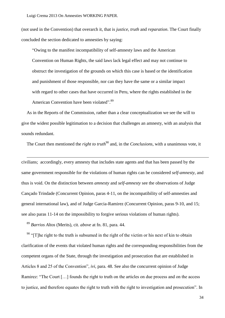(not used in the Convention) that overarch it, that is *justice*, *truth* and *reparation*. The Court finally concluded the section dedicated to amnesties by saying:

―Owing to the manifest incompatibility of self-amnesty laws and the American Convention on Human Rights, the said laws lack legal effect and may not continue to obstruct the investigation of the grounds on which this case is based or the identification and punishment of those responsible, nor can they have the same or a similar impact with regard to other cases that have occurred in Peru, where the rights established in the American Convention have been violated".<sup>89</sup>

As in the Reports of the Commission, rather than a clear conceptualization we see the will to give the widest possible legitimation to a decision that challenges an amnesty, with an analysis that sounds redundant.

The Court then mentioned the *right to truth*<sup>90</sup> and, in the *Conclusions*, with a unanimous vote, it

civilians; accordingly, every amnesty that includes state agents and that has been passed by the same government responsible for the violations of human rights can be considered *self-amnesty*, and thus is void. On the distinction between *amnesty* and *self-amnesty* see the observations of Judge Cançado Trindade (Concurrent Opinion, paras 4-11, on the incompatibility of self-amnesties and general international law), and of Judge Garcia-Ramirez (Concurrent Opinion, paras 9-10, and 15; see also paras 11-14 on the impossibility to forgive serious violations of human rights).

<sup>89</sup> *Barrios Altos* (Merits), cit. *above* at fn. 81, para. 44.

<u>.</u>

 $90$  "The right to the truth is subsumed in the right of the victim or his next of kin to obtain clarification of the events that violated human rights and the corresponding responsibilities from the competent organs of the State, through the investigation and prosecution that are established in Articles 8 and 25 of the Convention", *ivi*, para. 48. See also the concurrent opinion of Judge Ramirez: "The Court [...] founds the right to truth on the articles on due process and on the access to justice, and therefore equates the right to truth with the right to investigation and prosecution". In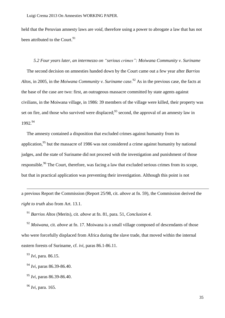held that the Peruvian amnesty laws are *void*, therefore using a power to abrogate a law that has not been attributed to the Court.<sup>91</sup>

*5.2 Four years later, an intermezzo on "serious crimes": Moiwana Community v. Suriname* The second decision on amnesties handed down by the Court came out a few year after *Barrios Altos*, in 2005, in the *Moiwana Community v. Suriname case*. <sup>92</sup> As in the previous case, the facts at the base of the case are two: first, an outrageous massacre committed by state agents against civilians, in the Moiwana village, in 1986: 39 members of the village were killed, their property was set on fire, and those who survived were displaced;<sup>93</sup> second, the approval of an amnesty law in 1992. 94

The amnesty contained a disposition that excluded crimes against humanity from its application,  $95$  but the massacre of 1986 was not considered a crime against humanity by national judges, and the state of Suriname did not proceed with the investigation and punishment of those responsible.<sup>96</sup> The Court, therefore, was facing a law that excluded serious crimes from its scope, but that in practical application was preventing their investigation. Although this point is not

a previous Report the Commission (Report 25/98, cit. *above* at fn. [59\)](#page-23-0), the Commission derived the *right to truth* also from Art. 13.1.

<sup>91</sup> *Barrios Altos* (Merits), cit. *above* at fn. 81, para. 51, *Conclusion 4*.

<sup>92</sup> *Moiwana*, cit. *above* at fn. 17. Moiwana is a small village composed of descendants of those who were forcefully displaced from Africa during the slave trade, that moved within the internal eastern forests of Suriname, cf. *ivi*, paras 86.1-86.11.

<sup>93</sup> *Ivi*, para. 86.15.

<u>.</u>

<sup>94</sup> *Ivi*, paras 86.39-86.40.

<sup>95</sup> *Ivi*, paras 86.39-86.40.

<sup>96</sup> *Ivi*, para. 165.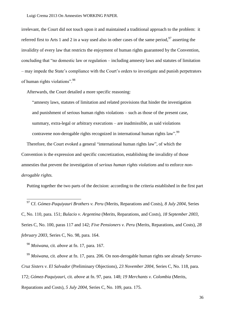irrelevant, the Court did not touch upon it and maintained a traditional approach to the problem: it referred first to Arts 1 and 2 in a way used also in other cases of the same period.<sup>97</sup> asserting the invalidity of every law that restricts the enjoyment of human rights guaranteed by the Convention, concluding that "no domestic law or regulation – including amnesty laws and statutes of limitation – may impede the State's compliance with the Court's orders to investigate and punish perpetrators of human rights violations".<sup>98</sup>

Afterwards, the Court detailed a more specific reasoning:

―amnesty laws, statutes of limitation and related provisions that hinder the investigation and punishment of serious human rights violations – such as those of the present case, summary, extra-legal or arbitrary executions – are inadmissible, as said violations contravene non-derogable rights recognized in international human rights law".<sup>99</sup>

Therefore, the Court evoked a general "international human rights law", of which the Convention is the expression and specific concretization, establishing the invalidity of those amnesties that prevent the investigation of *serious human rights violations* and to enforce *nonderogable rights.*

Putting together the two parts of the decision: according to the criteria established in the first part

<sup>97</sup> Cf. *Gómez-Paquiyauri Brothers v. Peru* (Merits, Reparations and Costs), *8 July 2004*, Series C, No. 110, para. 151; *Bulacio v. Argentina* (Merits, Reparations, and Costs), *18 September 2003*, Series C, No. 100, paras 117 and 142; *Five Pensioners v. Peru* (Merits, Reparations, and Costs), *28 february 2003*, Series C, No. 98, para. 164.

<sup>98</sup> *Moiwana*, cit. *above* at fn. 17, para. 167.

-

<sup>99</sup> *Moiwana*, cit. *above* at fn. 17, para. 206. On non-derogable human rights see already *Serrano-Cruz Sisters v. El Salvador* (Preliminary Objections), *23 November 2004*, Series C, No. 118, para. 172; *Gómez-Paquiyauri*, cit. *above* at fn. 97, para. 148; *19 Merchants v. Colombia* (Merits, Reparations and Costs), *5 July 2004*, Series C, No. 109, para. 175.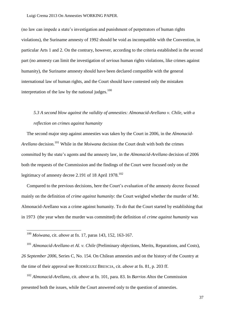(no law can impede a state's investigation and punishment of perpetrators of human rights violations), the Suriname amnesty of 1992 should be void as incompatible with the Convention, in particular Arts 1 and 2. On the contrary, however, according to the criteria established in the second part (no amnesty can limit the investigation of *serious* human rights violations, like crimes against humanity), the Suriname amnesty should have been declared compatible with the general international law of human rights, and the Court should have contested only the mistaken interpretation of the law by the national judges. $100$ 

# *5.3 A second blow against the validity of amnesties: Almonacid-Arellano v. Chile, with a reflection on crimes against humanity*

<span id="page-37-0"></span>The second major step against amnesties was taken by the Court in 2006, in the *Almonacid-Arellano* decision.<sup>101</sup> While in the *Moiwana* decision the Court dealt with both the crimes committed by the state's agents and the amnesty law, in the *Almonacid-Arellano* decision of 2006 both the requests of the Commission and the findings of the Court were focused only on the legitimacy of amnesty decree 2.191 of 18 April 1978.<sup>102</sup>

Compared to the previous decisions, here the Court's evaluation of the amnesty decree focused mainly on the definition of *crime against humanity*: the Court weighed whether the murder of Mr. Almonacid-Arellano was a crime against humanity. To do that the Court started by establishing that in 1973 (the year when the murder was committed) the definition of *crime against humanity* was

-

<sup>101</sup> *Almonacid-Arellano et Al. v. Chile* (Preliminary objections, Merits, Reparations, and Costs), *26 September 2006,* Series C, No. 154. On Chilean amnesties and on the history of the Country at the time of their approval see RODRÌGUEZ BRESCIA, cit. *above* at fn. 81, p. 203 ff.

<sup>102</sup> *Almonacid-Arellano*, cit. *above* at fn. 101, para. 83. In *Barrios Altos* the Commission presented both the issues, while the Court answered only to the question of amnesties.

<sup>100</sup> *Moiwana*, cit. *above* at fn. 17, paras 143, 152, 163-167.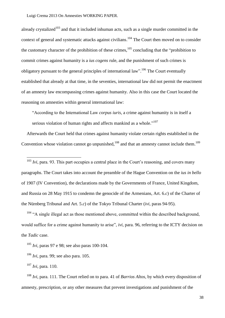already crystalized<sup>103</sup> and that it included inhuman acts, such as a single murder committed in the context of general and systematic attacks against civilians.<sup>104</sup> The Court then moved on to consider the customary character of the prohibition of these crimes, $105$  concluding that the "prohibition to commit crimes against humanity is a *ius cogens* rule, and the punishment of such crimes is obligatory pursuant to the general principles of international law".<sup>106</sup> The Court eventually established that already at that time, in the seventies, international law did not permit the enactment of an amnesty law encompassing crimes against humanity. Also in this case the Court located the reasoning on amnesties within general international law:

―According to the International Law *corpus iuris*, a crime against humanity is in itself a serious violation of human rights and affects mankind as a whole."<sup>107</sup>

Afterwards the Court held that crimes against humanity violate certain rights established in the Convention whose violation cannot go unpunished,  $108$  and that an amnesty cannot include them.  $109$ 

 $103$  *Ivi*, para. 93. This part occupies a central place in the Court's reasoning, and covers many paragraphs. The Court takes into account the preamble of the Hague Convention on the *ius in bello*  of 1907 (IV Convention), the declarations made by the Governments of France, United Kingdom, and Russia on 28 May 1915 to condemn the genocide of the Armenians, Art. 6.*c*) of the Charter of the Nürnberg Tribunal and Art. 5.*c*) of the Tokyo Tribunal Charter (*ivi*, paras 94-95).

 $104$  "A single illegal act as those mentioned above, committed within the described background, would suffice for a crime against humanity to arise", *ivi*, para. 96, referring to the ICTY decision on the *Tadic* case.

<sup>105</sup> *Ivi*, paras 97 e 98; see also paras 100-104.

<u>.</u>

<sup>108</sup> *Ivi*, para. 111. The Court relied on to para. 41 of *Barrios Altos*, by which every disposition of amnesty, prescription, or any other measures that prevent investigations and punishment of the

38

<sup>106</sup> *Ivi*, para. 99; see also para. 105.

<sup>107</sup> *Ivi*, para. 110.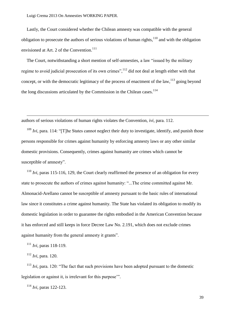Lastly, the Court considered whether the Chilean amnesty was compatible with the general obligation to prosecute the authors of serious violations of human rights,  $110$  and with the obligation envisioned at Art. 2 of the Convention.<sup>111</sup>

The Court, notwithstanding a short mention of self-amnesties, a law "issued by the military regime to avoid judicial prosecution of its own crimes", <sup>112</sup> did not deal at length either with that concept, or with the democratic legitimacy of the process of enactment of the law,  $^{113}$  going beyond the long discussions articulated by the Commission in the Chilean cases.<sup>114</sup>

authors of serious violations of human rights violates the Convention, *ivi*, para. 112.

 $109$  *Ivi*, para. 114: "The States cannot neglect their duty to investigate, identify, and punish those persons responsible for crimes against humanity by enforcing amnesty laws or any other similar domestic provisions. Consequently, crimes against humanity are crimes which cannot be susceptible of amnesty".

<sup>110</sup> *Ivi*, paras 115-116, 129, the Court clearly reaffirmed the presence of an obligation for every state to prosecute the authors of crimes against humanity: "...The crime committed against Mr. Almonacid-Arellano cannot be susceptible of amnesty pursuant to the basic rules of international law since it constitutes a crime against humanity. The State has violated its obligation to modify its domestic legislation in order to guarantee the rights embodied in the American Convention because it has enforced and still keeps in force Decree Law No. 2.191, which does not exclude crimes against humanity from the general amnesty it grants".

<sup>111</sup> *Ivi*, paras 118-119.

<sup>112</sup> *Ivi*, para. 120.

-

 $113$  *Ivi*, para. 120: "The fact that such provisions have been adopted pursuant to the domestic legislation or against it, is irrelevant for this purpose".

<sup>114</sup> *Ivi*, paras 122-123.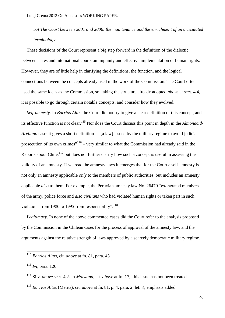# *5.4 The Court between 2001 and 2006: the maintenance and the enrichment of an articulated terminology*

These decisions of the Court represent a big step forward in the definition of the dialectic between states and international courts on impunity and effective implementation of human rights. However, they are of little help in clarifying the definitions, the function, and the logical connections between the concepts already used in the work of the Commission. The Court often used the same ideas as the Commission, so, taking the structure already adopted *above* at sect. 4.4, it is possible to go through certain notable concepts, and consider how they evolved.

*Self-amnesty.* In *Barrios Altos* the Court did not try to give a clear definition of this concept, and its effective function is not clear. <sup>115</sup> Nor does the Court discuss this point in depth in the *Almonacid-Arellano* case: it gives a short definition – "[a law] issued by the military regime to avoid judicial prosecution of its own crimes<sup>"116</sup> – very similar to what the Commission had already said in the Reports about Chile, $117$  but does not further clarify how such a concept is useful in assessing the validity of an amnesty. If we read the amnesty laws it emerges that for the Court a self-amnesty is not only an amnesty applicable *only* to the members of public authorities, but includes an amnesty applicable *also* to them. For example, the Peruvian amnesty law No. 26479 "exonerated members of the army, police force and *also civilians* who had violated human rights or taken part in such violations from 1980 to 1995 from responsibility".  $^{118}$ 

*Legitimacy.* In none of the above commented cases did the Court refer to the analysis proposed by the Commission in the Chilean cases for the process of approval of the amnesty law, and the arguments against the relative strength of laws approved by a scarcely democratic military regime.

<u>.</u>

<sup>115</sup> *Barrios Altos*, cit. *above* at fn. 81, para. 43.

<sup>116</sup> *Ivi*, para. 120.

<sup>117</sup> Si v. *above* sect. [4.](#page-19-0)2. In *Moiwana*, cit. *above* at fn. 17, this issue has not been treated.

<sup>118</sup> *Barrios Altos* (Merits), cit. *above* at fn. 81, p. 4, para. 2, let. *i*), emphasis added.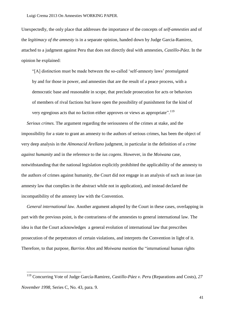Unexpectedly, the only place that addresses the importance of the concepts of *self-amnesties* and of the *legitimacy of the amnesty* is in a separate opinion, handed down by Judge Garcia-Ramirez, attached to a judgment against Peru that does not directly deal with amnesties, *Castillo-Páez*. In the opinion he explained:

―[A] distinction must be made between the so-called ‗self-amnesty laws' promulgated by and for those in power, and amnesties that are the result of a peace process, with a democratic base and reasonable in scope, that preclude prosecution for acts or behaviors of members of rival factions but leave open the possibility of punishment for the kind of very egregious acts that no faction either approves or views as appropriate".  $^{119}$ 

*Serious crimes.* The argument regarding the seriousness of the crimes at stake, and the impossibility for a state to grant an amnesty to the authors of serious crimes, has been the object of very deep analysis in the *Almonacid Arellano* judgment, in particular in the definition of a *crime against humanity* and in the reference to the *ius cogens*. However, in the *Moiwana* case, notwithstanding that the national legislation explicitly prohibited the applicability of the amnesty to the authors of crimes against humanity, the Court did not engage in an analysis of such an issue (an amnesty law that complies in the abstract while not in application), and instead declared the incompatibility of the amnesty law with the Convention.

*General international law.* Another argument adopted by the Court in these cases, overlapping in part with the previous point, is the contrariness of the amnesties to general international law. The idea is that the Court acknowledges a general evolution of international law that prescribes prosecution of the perpetrators of certain violations, and interprets the Convention in light of it. Therefore, to that purpose, *Barrios Altos* and *Moiwana* mention the "international human rights"

<u>.</u>

<sup>119</sup> Concurring Vote of Judge García-Ramirez, *Castillo-Páez v. Peru* (Reparations and Costs)*, 27 November 1998,* Series C, No. 43, para. 9.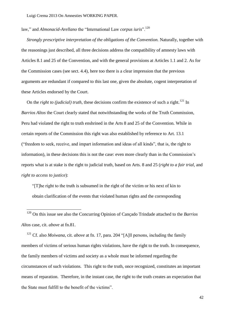law," and *Almonacid-Arellano* the "International Law *corpus iuris*".<sup>120</sup>

*Strongly prescriptive interpretation of the obligations of the Convention.* Naturally, together with the reasonings just described, all three decisions address the compatibility of amnesty laws with Articles 8.1 and 25 of the Convention, and with the general provisions at Articles 1.1 and 2. As for the Commission cases (see sect. 4.4), here too there is a clear impression that the previous arguments are redundant if compared to this last one, given the absolute, cogent interpretation of these Articles endorsed by the Court.

On the *right to (judicial) truth*, these decisions confirm the existence of such a right.<sup>121</sup> In *Barrios Altos* the Court clearly stated that notwithstanding the works of the Truth Commission, Peru had violated the right to truth enshrined in the Arts 8 and 25 of the Convention. While in certain reports of the Commission this right was also established by reference to Art. 13.1 (―freedom to seek, receive, and impart information and ideas of all kinds‖, that is, the right to information), in these decisions this is not the case: even more clearly than in the Commission's reports what is at stake is the right to judicial truth, based on Arts. 8 and 25 (*right to a fair trial*, and *right to access to justice*):

 $T$ ]he right to the truth is subsumed in the right of the victim or his next of kin to obtain clarification of the events that violated human rights and the corresponding

<u>.</u>

<sup>120</sup> On this issue see also the Concurring Opinion of Cançado Trindade attached to the *Barrios Altos* case, cit. *above* at fn.81.

<sup>121</sup> Cf. also *Moiwana*, cit. *above* at fn. 17, para. 204 "[A]<sup>l</sup>l persons, including the family members of victims of serious human rights violations, have the right to the truth. In consequence, the family members of victims and society as a whole must be informed regarding the circumstances of such violations. This right to the truth, once recognized, constitutes an important means of reparation. Therefore, in the instant case, the right to the truth creates an expectation that the State must fulfill to the benefit of the victims".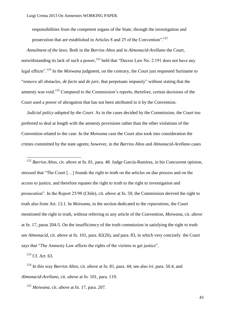responsibilities from the competent organs of the State, through the investigation and prosecution that are established in Articles 8 and 25 of the Convention".<sup>122</sup>

*Annulment of the laws.* Both in the *Barrios Altos* and in *Almonacid-Arellano* the Court, notwithstanding its lack of such a power,  $123$  held that "Decree Law No. 2.191 does not have any legal effects".<sup>124</sup> In the *Moiwana* judgment, on the contrary, the Court just requested Suriname to ―remove all obstacles, *de facto* and *de jure*, that perpetuate impunity‖ without stating that the amnesty was void.<sup>125</sup> Compared to the Commission's reports, therefore, certain decisions of the Court used a power of abrogation that has not been attributed to it by the Convention.

*Judicial policy adopted by the Court*. As in the cases decided by the Commission, the Court too preferred to deal at length with the amnesty provisions rather than the other violations of the Convention related to the case. In the *Moiwana* case the Court also took into consideration the crimes committed by the state agents; however, in the *Barrios Altos* and *Almonacid-Arellano* cases

<sup>122</sup> *Barrios Altos*, cit. *above* at fn. 81, para. 48. Judge García-Ramirez, in his Concurrent opinion, stressed that "The Court [...] founds the right to truth on the articles on due process and on the access to justice, and therefore equates the right to truth to the right to investigation and prosecution‖. In the Report 25/98 (Chile), cit. *above* at fn. 59, the Commission derived the right to truth also from Art. 13.1. In *Moiwana*, in the section dedicated to the *reparations*, the Court mentioned the right to truth, without referring to any article of the Convention, *Moiwana*, cit. *above*  at fn. 17, paras 204-5. On the insufficiency of the truth commission in satisfying the right to truth see *Almonacid*, cit. *above* at fn. 101, para. 82(26), and para. 83, in which very concisely the Court says that "The Amnesty Law affects the rights of the victims to get justice".

 $123$  Cf. Art. 63.

<u>.</u>

<sup>124</sup> In this way *Barrios Altos*, cit. *above* at fn. 81, para. 44; see also *ivi*, para. 50.4, and *Almonacid-Arellano*, cit. *above* at fn. 101, para. 119.

<sup>125</sup> *Moiwana*, cit. *above* at fn. 17, para. 207.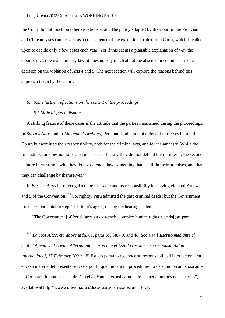the Court did not touch on other violations at all. The policy adopted by the Court in the Peruvian and Chilean cases can be seen as a consequence of the exceptional role of the Court, which is called upon to decide only a few cases each year. Yet if this seems a plausible explanation of *why* the Court struck down an amnesty law, it does not say much about the absence in certain cases of a decision on the violation of Arts 4 and 5. The next section will explore the reasons behind this approach taken by the Court.

## *6. Some further reflections on the context of the proceedings*

## *6.1 Little disputed disputes*

-

A striking feature of these cases is the attitude that the parties maintained during the proceedings. In *Barrios Altos* and in *Almonacid-Arellano*, Peru and Chile did not defend themselves before the Court, but admitted their responsibility, both for the criminal acts, and for the amnesty. While the first admission does not raise a serious issue – luckily they did not defend their crimes –, the second is more interesting – why they do not defend a law, something that is still in their premises, and that they can challenge by themselves?

In *Barrios Altos* Peru recognized the massacre and its responsibility for having violated Arts 4 and 5 of the Convention.<sup>126</sup> So, rightly, Peru admitted the past criminal deeds; but the Government took a second notable step. The State's agent, during the hearing, stated:

―The Government [of Peru] faces an extremely complex human rights agenda[; as part

<sup>126</sup> *Barrios Altos*, cit. *above* at fn. 81, paras 35, 38, 40, and 46. See also l'*Escrito mediante el cual el Agente y el Agente Alterno informaron que el Estado reconoce su responsabilidad internacional, 15 February 2001*: "El Estado peruano reconoce su responsabilidad internacional en el caso materia del presente proceso, por lo que iniciará un procedimiento de solución amistosa ante la Comisión Interamericana de Derechos Humanos, así como ante los peticionarios en este caso", available at http://www.corteidh.or.cr/docs/casos/barrios/reconoc.PDF.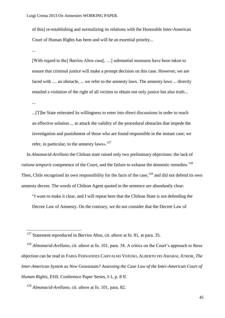of this] re-establishing and normalizing its relations with the Honorable Inter-American Court of Human Rights has been and will be an essential priority...

...

...

-

[With regard to the] Barrios Altos case[, …] substantial measures have been taken to ensure that criminal justice will make a prompt decision on this case. However, we are faced with .... an obstacle, ... we refer to the amnesty laws. The amnesty laws ... directly entailed a violation of the right of all victims to obtain not only justice but also truth...

...[T]he State reiterated its willingness to enter into direct discussions in order to reach an effective solution ... to attack the validity of the procedural obstacles that impede the investigation and punishment of those who are found responsible in the instant case; we refer, in particular, to the amnesty laws».<sup>127</sup>

In *Almonacid-Arellano* the Chilean state raised only two preliminary objections: the lack of *ratione temporis* competence of the Court, and the failure to exhaust the domestic remedies.<sup>128</sup> Then, Chile recognized its own responsibility for the facts of the case,  $129$  and did not defend its own amnesty decree. The words of Chilean Agent quoted in the sentence are abundantly clear:

―I want to make it clear, and I will repeat here that the Chilean State is not defending the Decree Law of Amnesty. On the contrary, we do not consider that the Decree Law of

<sup>128</sup> *Almonacid-Arellano*, cit. *above* at fn. 101, para. 38. A critics on the Court's approach to these objection can be read in FABIA FERNANDES CARVALHO VEÉOSO, ALBERTO DO AMARAL JÚNIOR, *The Inter-American System as New* Grossraum*? Assessing the Case Law of the Inter-American Court of Human Rights*, ESIL Conference Paper Series, I-1, p. 8 ff.

<sup>129</sup> *Almonacid-Arellano*, cit. *above* at fn. 101, para. 82.

<sup>127</sup> Statement reproduced in *Barrios Altos*, cit. *above* at fn. 81, at para. 35.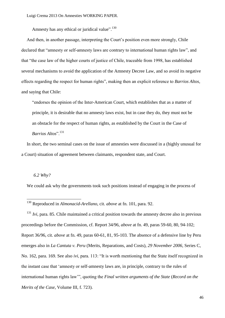Amnesty has any ethical or juridical value". $^{130}$ 

And then, in another passage, interpreting the Court's position even more strongly, Chile declared that "amnesty or self-amnesty laws are contrary to international human rights law", and that "the case law of the higher courts of justice of Chile, traceable from 1998, has established several mechanisms to avoid the application of the Amnesty Decree Law, and so avoid its negative effects regarding the respect for human rights", making then an explicit reference to *Barrios Altos*, and saying that Chile:

"endorses the opinion of the Inter-American Court, which establishes that as a matter of principle, it is desirable that no amnesty laws exist, but in case they do, they must not be an obstacle for the respect of human rights, as established by the Court in the Case of *Barrios Altos*".<sup>131</sup>

In short, the two seminal cases on the issue of amnesties were discussed in a (highly unusual for a Court) situation of agreement between claimants, respondent state, and Court.

## *6.2 Why?*

-

We could ask why the governments took such positions instead of engaging in the process of

<sup>131</sup> *Ivi*, para. 85. Chile maintained a critical position towards the amnesty decree also in previous proceedings before the Commission, cf. Report 34/96, *above* at fn. 49, paras 59-60, 80, 94-102; Report 36/96, cit. *above* at fn. 49, paras 60-61, 81, 95-103. The absence of a defensive line by Peru emerges also in *La Cantuta v. Peru* (Merits, Reparations, and Costs), *29 November 2006*, Series C, No. 162, para. 169. See also *ivi*, para. 113: "It is worth mentioning that the State itself recognized in the instant case that ‗amnesty or self-amnesty laws are, in principle, contrary to the rules of international human rights law"', quoting the *Final written arguments of the State (Record on the Merits of the Case*, Volume III, f. 723).

<sup>130</sup> Reproduced in *Almonacid-Arellano*, cit. *above* at fn. 101, para. 92.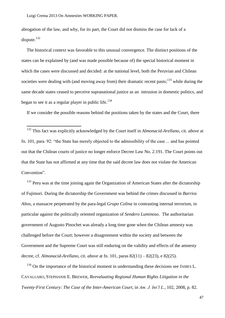<u>.</u>

abrogation of the law, and why, for its part, the Court did not dismiss the case for lack of a dispute.<sup>132</sup>

The historical context was favorable to this unusual convergence. The distinct positions of the states can be explained by (and was made possible because of) the special historical moment in which the cases were discussed and decided: at the national level, both the Peruvian and Chilean societies were dealing with (and moving away from) their dramatic recent pasts; $^{133}$  while during the same decade states ceased to perceive supranational justice as an intrusion in domestic politics, and began to see it as a regular player in public life.<sup>134</sup>

If we consider the possible reasons behind the positions taken by the states and the Court, there

<sup>132</sup> This fact was explicitly acknowledged by the Court itself in *Almonacid-Arellano*, cit. *above* at fn. [101,](#page-37-0) para. 92: "the State has merely objected to the admissibility of the case ... and has pointed out that the Chilean courts of justice no longer enforce Decree Law No. 2.191. The Court points out that the State has not affirmed at any time that the said decree law does not violate the American Convention".

 $133$  Peru was at the time joining again the Organization of American States after the dictatorship of Fujimori. During the dictatorship the Government was behind the crimes discussed in *Barrios Altos*, a massacre perpetrated by the para-legal *Grupo Colina* in contrasting internal terrorism, in particular against the politically oriented organization of *Sendero Luminoso*. The authoritarian government of Augusto Pinochet was already a long time gone when the Chilean amnesty was challenged before the Court; however a disagreement within the society and between the Government and the Supreme Court was still enduring on the validity and effects of the amnesty decree, cf. *Almonacid-Arellano*, cit. *above* at fn. 101, paras 82(11) – 82(23), e 82(25).

 $134$  On the importance of the historical moment in understanding these decisions see JAMES L. CAVALLARO, STEPHANIE E. BREWER, *Reevaluating Regional Human Rights Litigation in the Twenty-First Century: The Case of the Inter-American Court*, in *Am. J. Int"l L.*, 102, 2008, p. 82.

47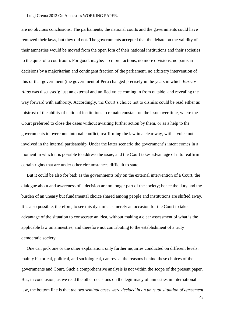are no obvious conclusions. The parliaments, the national courts and the governments could have removed their laws, but they did not. The governments accepted that the debate on the validity of their amnesties would be moved from the open fora of their national institutions and their societies to the quiet of a courtroom. For good, maybe: no more factions, no more divisions, no partisan decisions by a majoritarian and contingent fraction of the parliament, no arbitrary intervention of this or that government (the government of Peru changed precisely in the years in which *Barrios Altos* was discussed): just an external and unified voice coming in from outside, and revealing the way forward with authority. Accordingly, the Court's choice not to dismiss could be read either as mistrust of the ability of national institutions to remain constant on the issue over time, where the Court preferred to close the cases without awaiting further action by them, or as a help to the governments to overcome internal conflict, reaffirming the law in a clear way, with a voice not involved in the internal partisanship. Under the latter scenario the government's intent comes in a moment in which it is possible to address the issue, and the Court takes advantage of it to reaffirm certain rights that are under other circumstances difficult to state.

But it could be also for bad: as the governments rely on the external intervention of a Court, the dialogue about and awareness of a decision are no longer part of the society; hence the duty and the burden of an uneasy but fundamental choice shared among people and institutions are shifted away. It is also possible, therefore, to see this dynamic as merely an occasion for the Court to take advantage of the situation to consecrate an idea, without making a clear assessment of what is the applicable law on amnesties, and therefore not contributing to the establishment of a truly democratic society.

One can pick one or the other explanation: only further inquiries conducted on different levels, mainly historical, political, and sociological, can reveal the reasons behind these choices of the governments and Court. Such a comprehensive analysis is not within the scope of the present paper. But, in conclusion, as we read the other decisions on the legitimacy of amnesties in international law, the bottom line is that *the two seminal cases were decided in an unusual situation of agreement*

48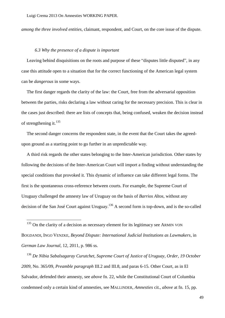*among the three involved entities*, claimant, respondent, and Court, on the core issue of the dispute.

## *6.3 Why the presence of a dispute is important*

<u>.</u>

Leaving behind disquisitions on the roots and purpose of these "disputes little disputed", in any case this attitude open to a situation that for the correct functioning of the American legal system can be *dangerous* in some ways.

The first danger regards the clarity of the law: the Court, free from the adversarial opposition between the parties, risks declaring a law without caring for the necessary precision. This is clear in the cases just described: there are lists of concepts that, being confused, weaken the decision instead of strengthening it.<sup>135</sup>

The second danger concerns the respondent state, in the event that the Court takes the agreedupon ground as a starting point to go further in an unpredictable way.

A third risk regards the other states belonging to the Inter-American jurisdiction. Other states by following the decisions of the Inter-American Court will import a finding without understanding the special conditions that provoked it. This dynamic of influence can take different legal forms. The first is the spontaneous cross-reference between courts. For example, the Supreme Court of Uruguay challenged the amnesty law of Uruguay on the basis of *Barrios Altos*, without any decision of the San José Court against Uruguay.<sup>136</sup> A second form is top-down, and is the so-called

 $135$  On the clarity of a decision as necessary element for its legitimacy see ARMIN VON BOGDANDI, INGO VENZKE, *Beyond Dispute: International Judicial Institutions as Lawmakers*, in *German Law Journal*, 12, 2011, p. 986 ss.

<sup>136</sup> *De Nibia Sabalsagaray Curutchet, Supreme Court of Justice of Uruguay*, *Order, 19 October 2009,* No. 365/09, *Preamble paragraph* III.2 and III.8, and paras 6-15. Other Court, as in El Salvador, defended their amnesty, see *above* fn. 22, while the Constitutional Court of Columbia condemned only a certain kind of amnesties, see MALLINDER, *Amnesties* cit., *above* at fn. [15,](#page-9-0) pp.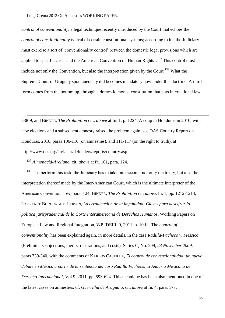*control of conventionality*, a legal technique recently introduced by the Court that echoes the *control of constitutionality typical of certain constitutional systems; according to it, "the Judiciary*" must exercise a sort of 'conventionality control' between the domestic legal provisions which are applied to specific cases and the American Convention on Human Rights".<sup>137</sup> This control must include not only the Convention, but also the interpretation given by the Court.<sup>138</sup> What the Supreme Court of Uruguay spontaneously did becomes mandatory now under this doctrine. A third form comes from the bottom up, through a domestic monist constitution that puts international law

838-9, and BINDER, *The Prohibition* cit., *above* at fn. [1,](#page-3-0) p. 1224. A coup in Honduras in 2010, with new elections and a subsequent amnesty raised the problem again, see OAS Country Report on Honduras, 2010, paras 106-110 (on amnesties), and 111-117 (on the right to truth), at http://www.oas.org/en/iachr/defenders/reports/country.asp.

<sup>137</sup> *Almonacid-Arellano*, cit. *above* at fn. 101, para. 124.

-

 $138$  "To perform this task, the Judiciary has to take into account not only the treaty, but also the interpretation thereof made by the Inter-American Court, which is the ultimate interpreter of the American Convention", *ivi*, para. 124; BINDER, *The Prohibition* cit. *above*, fn. [1,](#page-3-0) pp. 1212-1214; LAURENCE BURGORGUE-LARSEN, *La erradicacion de la impunidad: Claves para descifrar la politica jurisprudencial de la Corte Interamericana de Derechos Humanos*, Working Papers on European Law and Regional Integration, WP IDEIR, 9, 2011, p. 10 ff.. The *control of conventionality* has been explained again, in more details, in the case *Radilla-Pacheco v. Messico* (Preliminary objections, merits, reparations, and costs), Series C, No. 209, *23 November 2009*, paras 339-340, with the comments of KARLOS CASTILLA, *El control de convencionalidad: un nuevo debate en México a partir de la sentencia del caso Radilla Pacheco*, in *Anuario Mexicano de Derecho Internacional*, Vol 9, 2011, pp. 593-624. This technique has been also mentioned in one of the latest cases on amnesties, cf. *Guerrilha de Araguaia*, cit. *above* at fn. 4, para. 177.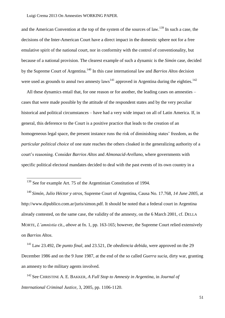and the American Convention at the top of the system of the sources of law.<sup>139</sup> In such a case, the decisions of the Inter-American Court have a direct impact in the domestic sphere not for a free emulative spirit of the national court, nor in conformity with the control of conventionality, but because of a national provision. The clearest example of such a dynamic is the *Simón* case, decided by the Supreme Court of Argentina.<sup>140</sup> In this case international law and *Barrios Altos* decision were used as grounds to annul two amnesty laws<sup>141</sup> approved in Argentina during the eighties.<sup>142</sup>

All these dynamics entail that, for one reason or for another, the leading cases on amnesties – cases that were made possible by the attitude of the respondent states and by the very peculiar historical and political circumstances – have had a very wide impact on all of Latin America. If, in general, this deference to the Court is a positive practice that leads to the creation of an homogeneous legal space, the present instance runs the risk of diminishing states' freedom, as the *particular political choice* of one state reaches the others cloaked in the generalizing authority of a court's reasoning. Consider *Barrios Altos* and *Almonacid-Arellano,* where governments with specific political electoral mandates decided to deal with the past events of its own country in a

-

<sup>140</sup> *Simón, Julio Héctor y otros,* Supreme Court of Argentina, Causa No. 17.768, *14 June 2005*, at http://www.dipublico.com.ar/juris/simon.pdf. It should be noted that a federal court in Argentina already contested, on the same case, the validity of the amnesty, on the 6 March 2001, cf. DELLA MORTE, *L"amnistia* cit., *above* at fn. 1, pp. 163-165; however, the Supreme Court relied extensively on *Barrios Altos*.

<sup>141</sup> Law 23.492, *De punto final*, and 23.521, *De obediencia debida*, were approved on the 29 December 1986 and on the 9 June 1987, at the end of the so called *Guerra sucia*, dirty war, granting an amnesty to the military agents involved.

<sup>142</sup> See CHRISTINE A. E. BAKKER, *A Full Stop to Amnesty in Argentina*, in *Journal of International Criminal Justice*, 3, 2005, pp. 1106-1120.

 $139$  See for example Art. 75 of the Argentinian Constitution of 1994.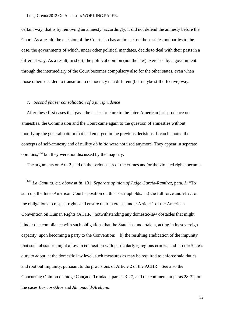certain way, that is by removing an amnesty; accordingly, it did not defend the amnesty before the Court. As a result, the decision of the Court also has an impact on those states not parties to the case, the governments of which, under other political mandates, decide to deal with their pasts in a different way. As a result, in short, the political opinion (not the law) exercised by a government through the intermediary of the Court becomes compulsory also for the other states, even when those others decided to transition to democracy in a different (but maybe still effective) way.

## *7. Second phase: consolidation of a jurisprudence*

-

After these first cases that gave the basic structure to the Inter-American jurisprudence on amnesties, the Commission and the Court came again to the question of amnesties without modifying the general pattern that had emerged in the previous decisions. It can be noted the concepts of self-amnesty and of nullity *ab initio* were not used anymore. They appear in separate opinions, <sup>143</sup> but they were not discussed by the majority.

The arguments on Art. 2, and on the seriousness of the crimes and/or the violated rights became

<sup>143</sup> La Cantuta, cit. *above* at fn. 131, *Separate opinion of Judge García-Ramírez*, para. 3: "To sum up, the Inter-American Court's position on this issue upholds: a) the full force and effect of the obligations to respect rights and ensure their exercise, under Article 1 of the American Convention on Human Rights (ACHR), notwithstanding any domestic-law obstacles that might hinder due compliance with such obligations that the State has undertaken, acting in its sovereign capacity, upon becoming a party to the Convention; b) the resulting eradication of the impunity that such obstacles might allow in connection with particularly egregious crimes; and c) the State's duty to adopt, at the domestic law level, such measures as may be required to enforce said duties and root out impunity, pursuant to the provisions of Article 2 of the ACHR". See also the Concurring Opinion of Judge Cançado-Trindade, paras 23-27, and the comment, at paras 28-32, on the cases *Barrios-Altos* and *Almonacíd-Arellano*.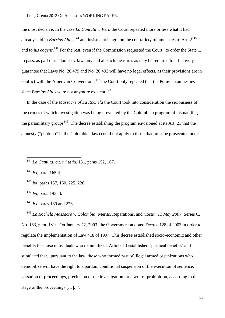the most decisive. In the case *La Cantuta v. Peru* the Court repeated more or less what it had already said in *Barrios Altos*,<sup>144</sup> and insisted at length on the contrariety of amnesties to Art. 2<sup>145</sup> and to *ius cogens*.<sup>146</sup> For the rest, even if the Commission requested the Court "to order the State ... to pass, as part of its domestic law, any and all such measures as may be required to effectively guarantee that Laws No. 26,479 and No. 26,492 will have no legal effects, as their provisions are in conflict with the American Convention",  $147$  the Court only repeated that the Peruvian amnesties since *Barrios Altos* were not anymore existent. 148

In the case of the *Massacre of La Rochela* the Court took into consideration the seriousness of the crimes of which investigation was being prevented by the Colombian program of dismantling the paramilitary groups<sup>149</sup>. The decree establishing the program envisioned at its Art. 21 that the amnesty ("perdono" in the Colombian law) could not apply to those that must be prosecuted under

<sup>145</sup> *Ivi*, para. 165 ff.

<u>.</u>

<sup>146</sup> *Ivi*, paras 157, 160, 225, 226.

<sup>147</sup> *Ivi*, para. 193.*e*).

<sup>148</sup> *Ivi*, paras 189 and 226.

<sup>149</sup> *La Rochela Massacre v. Colombia* (Merits, Reparations, and Costs)*, 11 May 2007,* Series C, No. 163, para. 181: "On January 22, 2003, the Government adopted Decree 128 of 2003 in order to regulate the implementation of Law 418 of 1997. This decree established socio-economic and other benefits for those individuals who demobilized. Article 13 established 'juridical benefits' and stipulated that, 'pursuant to the law, those who formed part of illegal armed organizations who demobilize will have the right to a pardon, conditional suspension of the execution of sentence, cessation of proceedings, preclusion of the investigation, or a writ of prohibition, according to the stage of the proceedings […].'".

<sup>144</sup> *La Cantuta,* cit. *ivi* at fn. 131, paras 152, 167.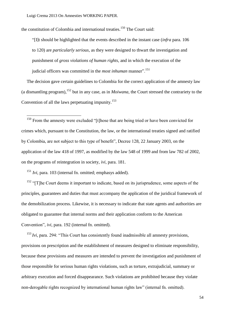the constitution of Colombia and international treaties.<sup>150</sup> The Court said:

―[I]t should be highlighted that the events described in the instant case (*infra* para. 106 to 120) are *particularly serious*, as they were designed to thwart the investigation and punishment of *gross violations of human rights*, and in which the execution of the judicial officers was committed in the *most inhuman* manner".<sup>151</sup>

The decision gave certain guidelines to Colombia for the correct application of the amnesty law (a dismantling program),  $^{152}$  but in any case, as in *Moiwana*, the Court stressed the contrariety to the Convention of all the laws perpetuating impunity.<sup>153</sup>

 $150$  From the amnesty were excluded "[t]hose that are being tried or have been convicted for crimes which, pursuant to the Constitution, the law, or the international treaties signed and ratified by Colombia, are not subject to this type of benefit", Decree 128, 22 January 2003, on the application of the law 418 of 1997, as modified by the law 548 of 1999 and from law 782 of 2002, on the programs of reintegration in society, *ivi*, para. 181.

<sup>151</sup> *Ivi,* para. 103 (internal fn. omitted; emphasys added).

-

 $152$  "[T]he Court deems it important to indicate, based on its jurisprudence, some aspects of the principles, guarantees and duties that must accompany the application of the juridical framework of the demobilization process. Likewise, it is necessary to indicate that state agents and authorities are obligated to guarantee that internal norms and their application conform to the American Convention", *ivi*, para. 192 (internal fn. omitted).

 $153$  *Ivi*, para. 294: "This Court has consistently found inadmissible all amnesty provisions, provisions on prescription and the establishment of measures designed to eliminate responsibility, because these provisions and measures are intended to prevent the investigation and punishment of those responsible for serious human rights violations, such as torture, extrajudicial, summary or arbitrary execution and forced disappearance. Such violations are prohibited because they violate non-derogable rights recognized by international human rights law" (internal fn. omitted).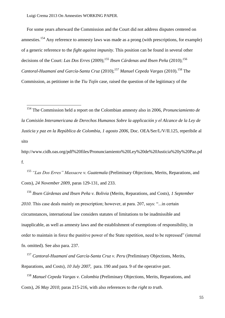<u>.</u>

For some years afterward the Commission and the Court did not address disputes centered on amnesties.<sup>154</sup> Any reference to amnesty laws was made as a prong (with prescriptions, for example) of a generic reference to the *fight against impunity*. This position can be found in several other decisions of the Court: *Las Dos Erres* (2009); <sup>155</sup> *Ibsen Cárdenas and Ibsen Peña* (2010); 156 Cantoral-Huamaní and García-Santa Cruz (2010);<sup>157</sup> Manuel Cepeda Vargas (2010).<sup>158</sup> The Commission, as petitioner in the *Tiu Tojín* case, raised the question of the legitimacy of the

http://www.cidh.oas.org/pdf%20files/Pronunciamiento%20Ley%20de%20Justicia%20y%20Paz.pd f.

<sup>155</sup> *"Las Dos Erres" Massacre v. Guatemala* (Preliminary Objections, Merits, Reparations, and Costs)*, 24 November 2009,* paras 129-131, and 233.

<sup>156</sup> *Ibsen Cárdenas and Ibsen Peña v. Bolivia* (Merits, Reparations, and Costs)*, 1 September*  2010. This case deals mainly on prescription; however, at para. 207, says: "...in certain circumstances, international law considers statutes of limitations to be inadmissible and inapplicable, as well as amnesty laws and the establishment of exemptions of responsibility, in order to maintain in force the punitive power of the State repetition, need to be repressed" (internal fn. omitted). See also para. 237.

<sup>157</sup> *Cantoral-Huamaní and García-Santa Cruz v. Peru* (Preliminary Objections, Merits, Reparations, and Costs)*, 10 July 2007*,para. 190 and para. 9 of the operative part.

<sup>158</sup> *Manuel Cepeda Vargas v. Colombia* (Preliminary Objections, Merits, Reparations, and Costs)*, 26 May 2010,* paras 215-216, with also references to the *right to truth*.

<sup>154</sup> The Commission held a report on the Colombian amnesty also in 2006, *Pronunciamiento de la Comisión Interamericana de Derechos Humanos Sobre la applicación y el Alcance de la Ley de Justicia y paz en la República de Colombia*, *1 agosto 2006*, Doc. OEA/Ser/L/V/II.125, reperibile al sito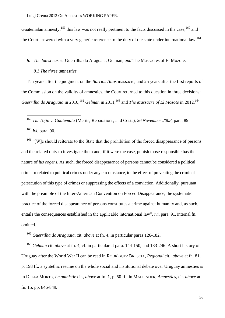Guatemalan amnesty;  $159$  this law was not really pertinent to the facts discussed in the case,  $160$  and the Court answered with a very generic reference to the duty of the state under international law.<sup>161</sup>

## *8. The latest cases:* Guerrilha do Araguaia*,* Gelman*, and* The Massacres of El Mozote.

## *8.1 The three amnesties*

-

Ten years after the judgment on the *Barrios Altos* massacre, and 25 years after the first reports of the Commission on the validity of amnesties, the Court returned to this question in three decisions: Guerrilha do Araguaia in 2010, <sup>162</sup> Gelman in 2011, <sup>163</sup> and *The Massacre of El Mozote* in 2012. <sup>164</sup>

<sup>159</sup> *Tiu Tojín v. Guatemala* (Merits, Reparations, and Costs), *26 November 2008,* para. 89. <sup>160</sup> *Ivi,* para. 90.

 $161$  "[W]e should reiterate to the State that the prohibition of the forced disappearance of persons and the related duty to investigate them and, if it were the case, punish those responsible has the nature of *ius cogens.* As such, the forced disappearance of persons cannot be considered a political crime or related to political crimes under any circumstance, to the effect of preventing the criminal persecution of this type of crimes or suppressing the effects of a conviction. Additionally, pursuant with the preamble of the Inter-American Convention on Forced Disappearance, the systematic practice of the forced disappearance of persons constitutes a crime against humanity and, as such, entails the consequences established in the applicable international law", *ivi*, para. 91, internal fn. omitted.

<sup>162</sup> *Guerrilha do Araguaia,* cit. *above* at fn. 4, in particular paras 126-182.

<sup>163</sup> *Gelman* cit. *above* at fn. 4, cf. in particular at para. 144-150, and 183-246. A short history of Uruguay after the World War II can be read in RODRÌGUEZ BRESCIA, *Regional* cit., *above* at fn. 81, p. 198 ff.; a syntethic resume on the whole social and institutional debate over Uruguay amnesties is in DELLA MORTE, *Le amnistie* cit., *above* at fn. 1, p. 50 ff., in MALLINDER, *Amnesties*, cit. *above* at fn. 15, pp. 846-849.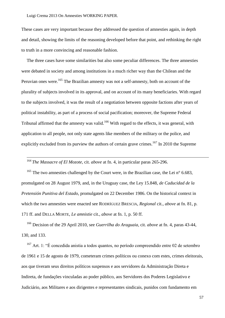These cases are very important because they addressed the question of amnesties again, in depth and detail, showing the limits of the reasoning developed before that point, and rethinking the right to truth in a more convincing and reasonable fashion.

The three cases have some similarities but also some peculiar differences. The three amnesties were debated in society and among institutions in a much richer way than the Chilean and the Peruvian ones were.<sup>165</sup> The Brazilian amnesty was not a self-amnesty, both on account of the plurality of subjects involved in its approval, and on account of its many beneficiaries. With regard to the subjects involved, it was the result of a negotiation between opposite factions after years of political instability, as part of a process of social pacification; moreover, the Supreme Federal Tribunal affirmed that the amnesty was valid.<sup>166</sup> With regard to the effects, it was general, with application to all people, not only state agents like members of the military or the police, and explicitly excluded from its purview the authors of certain grave crimes.<sup>167</sup> In 2010 the Supreme

<sup>164</sup> *The Massacre of El Mozote,* cit. *above* at fn. 4, in particular paras 265-296.

<u>.</u>

<sup>165</sup> The two amnesties challenged by the Court were, in the Brazilian case, the Lei n° 6.683, promulgated on 28 August 1979, and, in the Uruguay case, the Ley 15.848, *de Caducidad de la Pretensión Punitiva del Estado*, promulgated on 22 December 1986. On the historical context in which the two amnesties were enacted see RODRÌGUEZ BRESCIA, *Regional* cit., *above* at fn. 81, p. 171 ff. and DELLA MORTE, *Le amnistie* cit., *above* at fn. 1, p. 50 ff.

<sup>166</sup> Decision of the 29 April 2010, see *Guerrilha do Araguaia*, cit. *above* at fn. 4, paras 43-44, 130, and 133.

 $167$  Art. 1: "É concedida anistia a todos quantos, no período compreendido entre 02 de setembro de 1961 e 15 de agosto de 1979, cometeram crimes políticos ou conexo com estes, crimes eleitorais, aos que tiveram seus direitos políticos suspensos e aos servidores da Administração Direta e Indireta, de fundações vinculadas ao poder público, aos Servidores dos Poderes Legislativo e Judiciário, aos Militares e aos dirigentes e representantes sindicais, punidos com fundamento em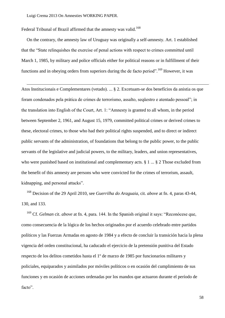-

Federal Tribunal of Brazil affirmed that the amnesty was valid.<sup>168</sup>

On the contrary, the amnesty law of Uruguay was originally a self-amnesty. Art. 1 established that the "State relinquishes the exercise of penal actions with respect to crimes committed until March 1, 1985, by military and police officials either for political reasons or in fulfillment of their functions and in obeying orders from superiors during the de facto period".<sup>169</sup> However, it was

Atos Institucionais e Complementares (vetado). ... § 2. Excetuam-se dos benefícios da anistia os que foram condenados pela prática de crimes de terrorismo, assalto, sequestro e atentado pessoal"; in the translation into English of the Court, Art. 1: "Amnesty is granted to all whom, in the period between September 2, 1961, and August 15, 1979, committed political crimes or derived crimes to these, electoral crimes, to those who had their political rights suspended, and to direct or indirect public servants of the administration, of foundations that belong to the public power, to the public servants of the legislative and judicial powers, to the military, leaders, and union representatives, who were punished based on institutional and complementary acts. § 1 ... § 2 Those excluded from the benefit of this amnesty are persons who were convicted for the crimes of terrorism, assault, kidnapping, and personal attacks".

<sup>168</sup> Decision of the 29 April 2010, see *Guerrilha do Araguaia*, cit. *above* at fn. 4, paras 43-44, 130, and 133.

<sup>169</sup> Cf. *Gelman* cit. *above* at fn. 4, para. 144. In the Spanish original it says: "Reconócese que, como consecuencia de la lógica de los hechos originados por el acuerdo celebrado entre partidos políticos y las Fuerzas Armadas en agosto de 1984 y a efecto de concluir la transición hacia la plena vigencia del orden constitucional, ha caducado el ejercicio de la pretensión punitiva del Estado respecto de los delitos cometidos hasta el 1º de marzo de 1985 por funcionarios militares y policiales, equiparados y asimilados por móviles políticos o en ocasión del cumplimiento de sus funciones y en ocasión de acciones ordenadas por los mandos que actuaron durante el período de facto".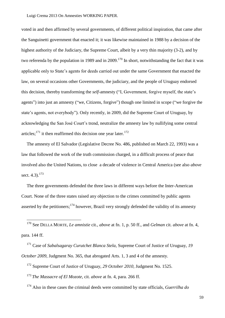voted in and then affirmed by several governments, of different political inspiration, that came after the Sanguinetti government that enacted it; it was likewise maintained in 1988 by a decision of the highest authority of the Judiciary, the Supreme Court, albeit by a very thin majority (3-2), and by two referenda by the population in 1989 and in 2009.<sup>170</sup> In short, notwithstanding the fact that it was applicable only to State's agents for deeds carried out under the same Government that enacted the law, on several occasions other Governments, the judiciary, and the people of Uruguay endorsed this decision, thereby transforming the *self*-amnesty ("I, Government, forgive myself, the state's agents") into just an amnesty ("we, Citizens, forgive") though one limited in scope ("we forgive the state's agents, not everybody"). Only recently, in 2009, did the Supreme Court of Uruguay, by acknowledging the San José Court's trend, neutralize the amnesty law by nullifying some central articles;<sup>171</sup> it then reaffirmed this decision one year later.<sup>172</sup>

The amnesty of El Salvador (Legislative Decree No. 486, published on March 22, 1993) was a law that followed the work of the truth commission charged, in a difficult process of peace that involved also the United Nations, to close a decade of violence in Central America (see also *above* sect.  $4.3$ ).<sup>173</sup>

The three governments defended the three laws in different ways before the Inter-American Court. None of the three states raised any objection to the crimes committed by public agents asserted by the petitioners;  $174$  however, Brazil very strongly defended the validity of its amnesty

<sup>170</sup> See DELLA MORTE, *Le amnistie* cit., *above* at fn. 1, p. 50 ff., and *Gelman* cit. *above* at fn. 4, para. 144 ff.

<sup>171</sup> Case of *Sabalsagaray Curutchet Blanca Stela*, Supreme Court of Justice of Uruguay, *19 October 2009*, Judgment No. 365, that abrogated Arts. 1, 3 and 4 of the amnesty.

<sup>172</sup> Supreme Court of Justice of Uruguay, *29 October 2010*, Judgment No. 1525.

<sup>173</sup> *The Massacre of El Mozote*, cit. *above* at fn. 4, para. 266 ff.

<u>.</u>

<sup>174</sup> Also in these cases the criminal deeds were committed by state officials, *Guerrilha do* 

59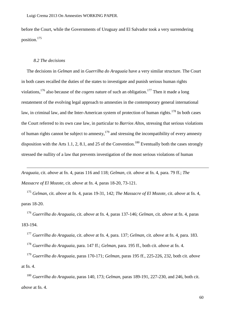before the Court, while the Governments of Uruguay and El Salvador took a very surrendering position.<sup>175</sup>

## *8.2 The decisions*

-

The decisions in *Gelman* and in *Guerrilha do Araguaia* have a very similar structure. The Court in both cases recalled the duties of the states to investigate and punish serious human rights violations, <sup>176</sup> also because of the *cogens* nature of such an obligation.<sup>177</sup> Then it made a long restatement of the evolving legal approach to amnesties in the contemporary general international law, in criminal law, and the Inter-American system of protection of human rights.<sup>178</sup> In both cases the Court referred to its own case law, in particular to *Barrios Alto*s*,* stressing that serious violations of human rights cannot be subject to amnesty,  $179$  and stressing the incompatibility of every amnesty disposition with the Arts 1.1, 2, 8.1, and 25 of the Convention.<sup>180</sup> Eventually both the cases strongly stressed the nullity of a law that prevents investigation of the most serious violations of human

*Araguaia*, cit. *above* at fn. 4, paras 116 and 118; *Gelman*, cit. *above* at fn. 4, para. 79 ff.; *The Massacre of El Mozote*, cit. *above* at fn. 4, paras 18-20, 73-121.

<sup>175</sup> *Gelman*, cit. *above* at fn. 4, paras 19-31, 142; *The Massacre of El Mozote*, cit. *above* at fn. 4, paras 18-20.

<sup>176</sup> *Guerrilha do Araguaia*, cit. *above* at fn. 4, paras 137-146; *Gelman*, cit. *above* at fn. 4, paras 183-194.

<sup>177</sup> *Guerrilha do Araguaia*, cit. *above* at fn. 4, para. 137; *Gelman*, cit. *above* at fn. 4, para. 183.

<sup>178</sup> *Guerrilha do Araguaia*, para. 147 ff.; *Gelman*, para. 195 ff., both cit. *above* at fn. 4.

<sup>179</sup> *Guerrilha do Araguaia*, paras 170-171; *Gelman*, paras 195 ff., 225-226, 232, both cit. *above*  at fn. 4.

<sup>180</sup> *Guerrilha do Araguaia*, paras 140, 173; *Gelman*, paras 189-191, 227-230, and 246, both cit. *above* at fn. 4.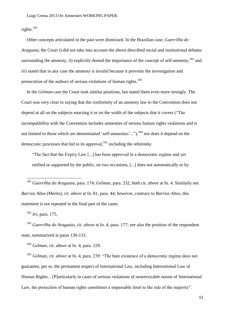rights.<sup>181</sup>

Other concepts articulated in the past were dismissed. In the Brazilian case, *Guerrilha do Araguaia*, the Court *i*) did not take into account the above described social and institutional debates surrounding the amnesty,  $\dot{i}$ ) explicitly denied the importance of the concept of self-amnesty,  $^{182}$  and *iii*) stated that in any case the amnesty is invalid because it prevents the investigation and prosecution of the authors of serious violations of human rights.<sup>183</sup>

In the *Gelman* case the Court took similar positions, but stated them even more strongly. The Court was very clear in saying that the conformity of an amnesty law to the Convention does not depend at all on the subjects enacting it or on the width of the subjects that it covers ("The incompatibility with the Convention includes amnesties of serious human rights violations and is not limited to those which are denominated 'self-amnesties'..."),  $^{184}$  nor does it depend on the democratic processes that led to its approval,<sup>185</sup> including the referenda:

"The fact that the Expiry Law [...] has been approved in a democratic regime and yet ratified or supported by the public, on two occasions, [...] does not automatically or by

<sup>181</sup> G*uerrilha do Araguaia*, para. 174; *Gelman*, para. 232, both cit. *above* at fn. 4. Similarly see. *Barrios Altos* (Merits), cit. *above* at fn. 81, para. 44; however, contrary to *Barrios Altos*, this statement is not repeated in the final part of the cases.

<sup>182</sup> *Ivi*, para. 175.

-

<sup>183</sup> *Guerrilha do Araguaia*, cit. *above* at fn. 4, para. 177; see also the position of the respondent state, summarized at paras 130-133.

<sup>184</sup> *Gelman*, cit. *above* at fn. 4, para. 229.

<sup>185</sup> *Gelman*, cit. *above* at fn. 4, para. 239: "The bare existence of a democratic regime does not guarantee, per se, the permanent respect of International Law, including International Law of Human Rights... [P]articularly in cases of serious violations of nonrevocable norms of International Law, the protection of human rights constitutes a impassable limit to the rule of the majority".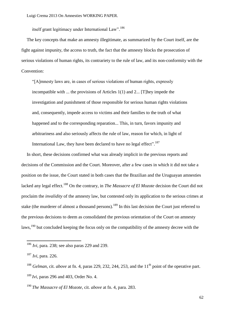itself grant legitimacy under International Law".<sup>186</sup>

The key concepts that make an amnesty illegitimate, as summarized by the Court itself, are the fight against impunity, the access to truth, the fact that the amnesty blocks the prosecution of serious violations of human rights, its contrariety to the rule of law, and its non-conformity with the Convention:

―[A]mnesty laws are, in cases of serious violations of human rights, expressly incompatible with ... the provisions of Articles 1(1) and 2... [T]hey impede the investigation and punishment of those responsible for serious human rights violations and, consequently, impede access to victims and their families to the truth of what happened and to the corresponding reparation... This, in turn, favors impunity and arbitrariness and also seriously affects the rule of law, reason for which, in light of International Law, they have been declared to have no legal effect". $^{187}$ 

In short, these decisions confirmed what was already implicit in the previous reports and decisions of the Commission and the Court. Moreover, after a few cases in which it did not take a position on the issue, the Court stated in both cases that the Brazilian and the Uruguayan amnesties lacked any legal effect.<sup>188</sup> On the contrary, in *The Massacre of El Mozote* decision the Court did not proclaim the *invalidity* of the amnesty law, but contested only its application to the serious crimes at stake (the murderer of almost a thousand persons).<sup>189</sup> In this last decision the Court just referred to the previous decisions to deem as consolidated the previous orientation of the Court on amnesty laws,<sup>190</sup> but concluded keeping the focus only on the compatibility of the amnesty decree with the

<u>.</u>

<sup>190</sup> *The Massacre of El Mozote*, cit. *above* at fn. 4, para. 283.

<sup>186</sup> *Ivi*, para. 238; see also paras 229 and 239.

<sup>187</sup> *Ivi*, para. 226.

<sup>&</sup>lt;sup>188</sup> *Gelman*, cit. *above* at fn. 4, paras 229, 232, 244, 253, and the 11<sup>th</sup> point of the operative part.

<sup>189</sup> *Ivi*, paras 296 and 403, Order No. 4.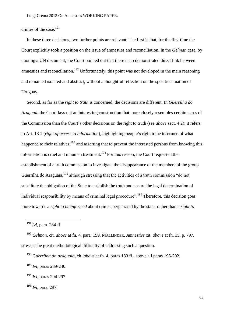crimes of the case.<sup>191</sup>

In these three decisions, two further points are relevant. The first is that, for the first time the Court explicitly took a position on the issue of amnesties and reconciliation. In the *Gelman* case, by quoting a UN document, the Court pointed out that there is no demonstrated direct link between amnesties and reconciliation.<sup>192</sup> Unfortunately, this point was not developed in the main reasoning and remained isolated and abstract, without a thoughtful reflection on the specific situation of Uruguay.

Second, as far as the *right to truth* is concerned, the decisions are different. In *Guerrilha do Araguaia* the Court lays out an interesting construction that more closely resembles certain cases of the Commission than the Court's other decisions on the right to truth (see *above* sect. 4.2): it refers to Art. 13.1 (*right of access to information*), highlighting people's right to be informed of what happened to their relatives, <sup>193</sup> and asserting that to prevent the interested persons from knowing this information is cruel and inhuman treatment.<sup>194</sup> For this reason, the Court requested the establishment of a truth commission to investigate the disappearance of the members of the group Guerrilha do Araguaia,<sup>195</sup> although stressing that the activities of a truth commission "do not substitute the obligation of the State to establish the truth and ensure the legal determination of individual responsibility by means of criminal legal procedure". <sup>196</sup> Therefore, this decision goes more towards a *right to be informed* about crimes perpetrated by the state, rather than a *right to* 

<u>.</u>

<sup>191</sup> *Ivi*, para. 284 ff.

<sup>192</sup> *Gelman*, cit. *above* at fn. 4, para. 199. MALLINDER, *Amnesties* cit. *above* at fn. 15, p. 797, stresses the great methodological difficulty of addressing such a question.

<sup>193</sup> G*uerrilha do Araguaia*, cit. *above* at fn. 4, paras 183 ff., above all paras 196-202.

<sup>194</sup> *Ivi*, paras 239-240.

<sup>195</sup> *Ivi*, paras 294-297.

<sup>196</sup> *Ivi*, para. 297.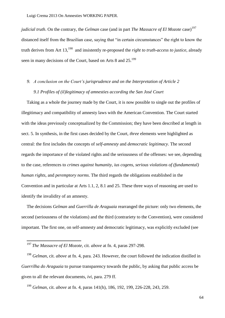*judicial truth*. On the contrary, the *Gelman* case (and in part *The Massacre of El Mozote* case) 197 distanced itself from the Brazilian case, saying that "in certain circumstances" the right to know the truth derives from Art 13,<sup>198</sup> and insistently re-proposed the *right to truth-access to justice*, already seen in many decisions of the Court, based on Arts 8 and 25.<sup>199</sup>

## *9. A conclusion on the Court"s jurisprudence and on the Interpretation of Article 2 9.1 Profiles of (il)legitimacy of amnesties according the San José Court*

Taking as a whole the journey made by the Court, it is now possible to single out the profiles of illegitimacy and compatibility of amnesty laws with the American Convention. The Court started with the ideas previously conceptualized by the Commission; they have been described at length in sect. 5. In synthesis, in the first cases decided by the Court, *three* elements were highlighted as central: the first includes the concepts of *self-amnesty* and *democratic legitimacy*. The second regards the importance of the violated rights and the seriousness of the offenses: we see, depending to the case, references to *crimes against humanity*, *ius cogens*, *serious violations of (fundamental) human rights*, and *peremptory norms*. The third regards the obligations established in the Convention and in particular at Arts 1.1, 2, 8.1 and 25. These three ways of reasoning are used to identify the invalidity of an amnesty.

The decisions *Gelman* and *Guerrilla de Araguaia* rearranged the picture: only two elements, the second (seriousness of the violations) and the third (contrariety to the Convention), were considered important. The first one, on self-amnesty and democratic legitimacy, was explicitly excluded (see

<u>.</u>

<sup>197</sup> *The Massacre of El Mozote*, cit. *above* at fn. 4, paras 297-298.

<sup>198</sup> *Gelman*, cit. *above* at fn. 4, para. 243. However, the court followed the indication distilled in *Guerrilha do Araguaia* to pursue transparency towards the public, by asking that public access be given to all the relevant documents, *ivi*, para. 279 ff.

<sup>199</sup> *Gelman*, cit. *above* at fn. 4, paras 141(h), 186, 192, 199, 226-228, 243, 259.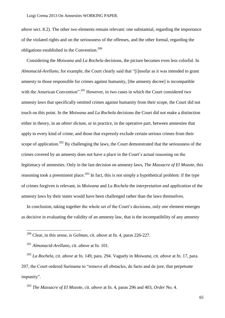*above* sect. 8.2). The other *two* elements remain relevant: one substantial, regarding the importance of the violated rights and on the seriousness of the offenses, and the other formal, regarding the obligations established in the Convention.<sup>200</sup>

Considering the *Moiwana* and *La Rochela* decisions, the picture becomes even less colorful. In *Almonacid-Arellano*, for example, the Court clearly said that "[i]nsofar as it was intended to grant amnesty to those responsible for crimes against humanity, [the amnesty decree] is incompatible with the American Convention".<sup>201</sup> However, in two cases in which the Court considered two amnesty laws that specifically omitted crimes against humanity from their scope, the Court did not touch on this point. In the *Moiwana* and *La Rochela* decisions the Court did not make a distinction either in theory, in an *obiter dictum*, or in practice, in the operative part, between amnesties that apply to every kind of crime, and those that expressly exclude certain serious crimes from their scope of application.<sup>202</sup> By challenging the laws, the Court demonstrated that the seriousness of the crimes covered by an amnesty does not have a place in the Court's actual reasoning on the legitimacy of amnesties. Only in the last decision on amnesty laws, *The Massacre of El Mozote*, this reasoning took a preeminent place.<sup>203</sup> In fact, this is not simply a hypothetical problem: if the type of crimes forgiven is relevant, in *Moiwana* and *La Rochela* the *interpretation* and *application* of the amnesty laws by their states would have been challenged rather than the laws themselves.

In conclusion, taking together the whole set of the Court's decisions, only *one* element emerges as decisive in evaluating the validity of an amnesty law, that is the incompatibility of any amnesty

-

<sup>203</sup> *The Massacre of El Mozote*, cit. *above* at fn. 4, paras 296 and 403, *Order* No. 4.

<sup>200</sup> Clear, in this sense, is *Gelman*, cit. *above* at fn. 4, paras 226-227.

<sup>201</sup> *Almonacid-Arellano*, cit. *above* at fn. 101.

<sup>202</sup> *La Rochela*, cit. *above* at fn. 149, para. 294. Vaguely in *Moiwana*, cit. *above* at fn. 17, para. 207, the Court ordered Suriname to "remove all obstacles, de facto and de jure, that perpetuate impunity".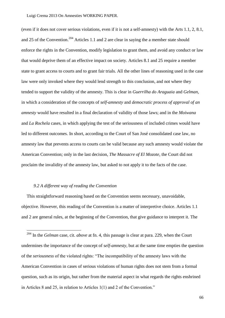(even if it does not cover serious violations, even if it is not a self-amnesty) with the Arts 1.1, 2, 8.1, and 25 of the Convention.<sup>204</sup> Articles 1.1 and 2 are clear in saying the a member state should enforce the rights in the Convention, modify legislation to grant them, and avoid any conduct or law that would deprive them of an effective impact on society. Articles 8.1 and 25 require a member state to grant access to courts and to grant fair trials. All the other lines of reasoning used in the case law were only invoked where they would lend strength to this conclusion, and not where they tended to support the validity of the amnesty. This is clear in *Guerrilha do Araguaia* and *Gelman,* in which a consideration of the concepts of *self-amnesty* and *democratic process of approval of an amnesty* would have resulted in a final declaration of validity of those laws; and in the *Moiwana* and *La Rochela* cases, in which applying the test of the seriousness of included crimes would have led to different outcomes. In short, according to the Court of San José consolidated case law, no amnesty law that prevents access to courts can be valid because any such amnesty would violate the American Convention; only in the last decision, *The Massacre of El Mozote*, the Court did not proclaim the invalidity of the amnesty law, but asked to not apply it to the facts of the case.

## *9.2 A different way of reading the Convention*

-

This straightforward reasoning based on the Convention seems necessary, unavoidable, objective. However, this reading of the Convention is a matter of interpretive choice. Articles 1.1 and 2 are general rules, at the beginning of the Convention, that give guidance to interpret it. The

<sup>204</sup> In the *Gelman* case, cit. *above* at fn. 4, this passage is clear at para. 229, when the Court undermines the importance of the concept of s*elf-amnesty*, but at the same time empties the question of the *seriousness* of the violated rights: "The incompatibility of the amnesty laws with the American Convention in cases of serious violations of human rights does not stem from a formal question, such as its origin, but rather from the material aspect in what regards the rights enshrined in Articles 8 and 25, in relation to Articles 1(1) and 2 of the Convention."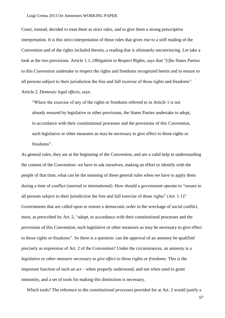Court, instead, decided to treat them as strict rules, and to give them a strong prescriptive interpretation. It is this strict interpretation of those rules that gives rise to a stiff reading of the Convention and of the rights included therein, a reading that is ultimately unconvincing. Let take a look at the two provisions. Article 1.1, *Obligation to Respect Rights*, says that "[t]he States Parties to this Convention undertake to respect the rights and freedoms recognized herein and to ensure to all persons subject to their jurisdiction the free and full exercise of those rights and freedoms". Article 2, *Domestic legal effects*, says:

―Where the exercise of any of the rights or freedoms referred to in Article 1 is not already ensured by legislative or other provisions, the States Parties undertake to adopt, in accordance with their constitutional processes and the provisions of this Convention, such legislative or other measures as may be necessary to give effect to those rights or freedoms".

As general rules, they are at the beginning of the Convention, and are a valid help in understanding the content of the Convention: we have to ask ourselves, making an effort to identify with the people of that time, what can be the meaning of these general rules when we have to apply them during a time of conflict (internal or international). How should a government operate to "ensure to all persons subject to their jurisdiction the free and full exercise of those rights" (Art.  $1.1$ )? Governments that are called upon to restore a democratic order in the wreckage of social conflict, must, as prescribed by Art. 2, "adopt, in accordance with their constitutional processes and the provisions of this Convention, such legislative or other measures as may be necessary to give effect to those rights or freedoms". So there is a question: can the approval of an amnesty be qualified precisely as expression of Art. 2 of the Convention? Under the circumstances, an amnesty is a *legislative or other measure necessary to give effect to those rights or freedoms*. This is the important function of such an act – when properly understood, and not when used to grant immunity, and a set of tools for making this distinction is necessary.

Which tools? The reference to the *constitutional processes* provided for at Art. 2 would justify a

67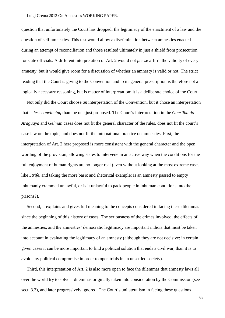question that unfortunately the Court has dropped: the legitimacy of the enactment of a law and the question of self-amnesties. This test would allow a discrimination between amnesties enacted during an attempt of reconciliation and those resulted ultimately in just a shield from prosecution for state officials. A different interpretation of Art. 2 would not *per se* affirm the validity of every amnesty, but it would give room for a discussion of whether an amnesty is valid or not. The strict reading that the Court is giving to the Convention and to its general prescription is therefore not a logically necessary reasoning, but is matter of interpretation; it is a deliberate choice of the Court.

Not only did the Court choose *an* interpretation of the Convention, but it chose an interpretation that is *less convincing* than the one just proposed. The Court's interpretation in the *Guerilha do Araguaya* and *Gelman* cases does not fit the general character of the rules, does not fit the court's case law on the topic, and does not fit the international practice on amnesties. First, the interpretation of Art. 2 here proposed is more consistent with the general character and the open wording of the provision, allowing states to intervene in an active way when the conditions for the full enjoyment of human rights are no longer real (even without looking at the most extreme cases, like *Strife,* and taking the more basic and rhetorical example: is an amnesty passed to empty inhumanly crammed unlawful, or is it unlawful to pack people in inhuman conditions into the prisons?).

Second, it explains and gives full meaning to the concepts considered in facing these dilemmas since the beginning of this history of cases. The seriousness of the crimes involved, the effects of the amnesties, and the amnesties' democratic legitimacy are important indicia that must be taken into account in evaluating the legitimacy of an amnesty (although they are not decisive: in certain given cases it can be more important to find a political solution that ends a civil war, than it is to avoid any political compromise in order to open trials in an unsettled society).

Third, this interpretation of Art. 2 is also more open to face the dilemmas that amnesty laws all over the world try to solve – dilemmas originally taken into consideration by the Commission (see sect. 3.3), and later progressively ignored. The Court's unilateralism in facing these questions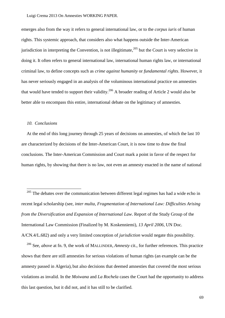emerges also from the way it refers to general international law, or to the *corpus iuris* of human rights. This systemic approach, that considers also what happens outside the Inter-American jurisdiction in interpreting the Convention, is not illegitimate, $^{205}$  but the Court is very selective in doing it. It often refers to general international law, international human rights law, or international criminal law, to define concepts such as *crime against humanity* or *fundamental rights*. However, it has never seriously engaged in an analysis of the voluminous international practice on amnesties that would have tended to support their validity.<sup>206</sup> A broader reading of Article 2 would also be better able to encompass this entire, international debate on the legitimacy of amnesties.

## *10. Conclusions*

<u>.</u>

At the end of this long journey through 25 years of decisions on amnesties, of which the last 10 are characterized by decisions of the Inter-American Court, it is now time to draw the final conclusions. The Inter-American Commission and Court mark a point in favor of the respect for human rights, by showing that there is no law, not even an amnesty enacted in the name of national

<sup>206</sup> See, *above* at fn. 9, the work of MALLINDER, *Amnesty* cit., for further references. This practice shows that there are still amnesties for serious violations of human rights (an example can be the amnesty passed in Algeria), but also decisions that deemed amnesties that covered the most serious violations as invalid. In the *Moiwana* and *La Rochela* cases the Court had the opportunity to address this last question, but it did not, and it has still to be clarified.

 $205$  The debates over the communication between different legal regimes has had a wide echo in recent legal scholarship (see, *inter multa*, *Fragmentation of International Law: Difficulties Arising from the Diversification and Expansion of International Law*. Report of the Study Group of the International Law Commission (Finalized by M. Koskenniemi), *13 April 2006*, UN Doc. A/CN.4/L.682) and only a very limited conception of *jurisdiction* would negate this possibility.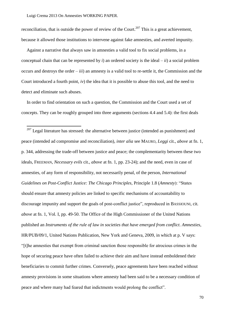<u>.</u>

reconciliation, that is outside the power of review of the Court.<sup>207</sup> This is a great achievement, because it allowed those institutions to intervene against fake amnesties, and averted impunity.

Against a narrative that always saw in amnesties a valid tool to fix social problems, in a conceptual chain that can be represented by *i*) an ordered society is the ideal – *ii*) a social problem occurs and destroys the order  $-iii$  an amnesty is a valid tool to re-settle it, the Commission and the Court introduced a fourth point, *iv*) the idea that it is possible to abuse this tool, and the need to detect and eliminate such abuses.

In order to find orientation on such a question, the Commission and the Court used a set of concepts. They can be roughly grouped into three arguments (sections 4.4 and 5.4): the first deals

 $207$  Legal literature has stressed: the alternative between justice (intended as punishment) and peace (intended ad compromise and reconciliation), *inter alia* see MAURO, *Leggi* cit., *above* at fn. 1, p. 344, addressing the trade-off between justice and peace; the complementarity between these two ideals, FREEMAN, *Necessary evils* cit., *above* at fn. 1, pp. 23-24); and the need, even in case of amnesties, of any form of responsibility, not necessarily penal, of the person, *International Guidelines on Post-Conflict Justice: The Chicago Principles, Principle 1.8 (Amnesty): "States* should ensure that amnesty policies are linked to specific mechanisms of accountability to discourage impunity and support the goals of post-conflict justice", reproduced in BASSIOUNI, cit. *above* at fn. 1, Vol. I, pp. 49-50. The Office of the High Commissioner of the United Nations published an *Instruments of the rule of law in societies that have emerged from conflict. Amnesties*, HR/PUB/09/1, United Nations Publication, New York and Geneva, 2009, in which at p. V says: ―[t]he amnesties that exempt from criminal sanction those responsible for atrocious crimes in the hope of securing peace have often failed to achieve their aim and have instead emboldened their beneficiaries to commit further crimes. Conversely, peace agreements have been reached without amnesty provisions in some situations where amnesty had been said to be a necessary condition of peace and where many had feared that indictments would prolong the conflict".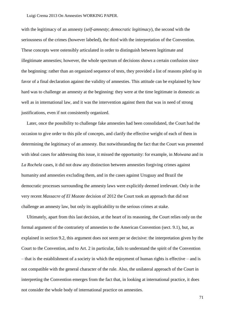with the legitimacy of an amnesty (*self-amnesty*; *democratic legitimacy*), the second with the seriousness of the crimes (however labeled), the third with the interpretation of the Convention. These concepts were ostensibly articulated in order to distinguish between legitimate and illegitimate amnesties; however, the whole spectrum of decisions shows a certain confusion since the beginning: rather than an organized sequence of tests, they provided a list of reasons piled up in favor of a final declaration against the validity of amnesties. This attitude can be explained by how hard was to challenge an amnesty at the beginning: they were at the time legitimate in domestic as well as in international law, and it was the intervention against them that was in need of strong justifications, even if not consistently organized.

Later, once the possibility to challenge fake amnesties had been consolidated, the Court had the occasion to give order to this pile of concepts, and clarify the effective weight of each of them in determining the legitimacy of an amnesty. But notwithstanding the fact that the Court was presented with ideal cases for addressing this issue, it missed the opportunity: for example, in *Moiwana* and in *La Rochela* cases, it did not draw any distinction between amnesties forgiving crimes against humanity and amnesties excluding them, and in the cases against Uruguay and Brazil the democratic processes surrounding the amnesty laws were explicitly deemed irrelevant. Only in the very recent *Massacre of El Mozote* decision of 2012 the Court took an approach that did not challenge an amnesty law, but only its applicability to the serious crimes at stake.

Ultimately, apart from this last decision, at the heart of its reasoning, the Court relies only on the formal argument of the contrariety of amnesties to the American Convention (sect. 9.1), but, as explained in section 9.2, this argument does not seem per se decisive: the interpretation given by the Court to the Convention, and to Art. 2 in particular, fails to understand the spirit of the Convention – that is the establishment of a society in which the enjoyment of human rights is effective – and is not compatible with the general character of the rule. Also, the unilateral approach of the Court in interpreting the Convention emerges from the fact that, in looking at international practice, it does not consider the whole body of international practice on amnesties.

71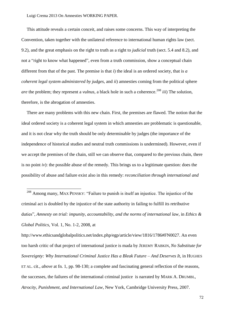Luigi Crema 2013 On Amnesties WORKING PAPER.

<u>.</u>

This attitude reveals a certain conceit, and raises some concerns. This way of interpreting the Convention, taken together with the unilateral reference to international human rights law (sect. 9.2), and the great emphasis on the right to truth as a right to *judicial* truth (sect. 5.4 and 8.2), and not a "right to know what happened", even from a truth commission, show a conceptual chain different from that of the past. The premise is that *i*) the ideal is an ordered society, that is *a coherent legal system administered by judges*, and *ii*) amnesties coming from the political sphere *are* the problem; they represent a *vulnus*, a black hole in such a coherence. <sup>208</sup> *iii*) The solution, therefore, is the abrogation of amnesties.

There are many problems with this new chain. First, the premises are flawed. The notion that the ideal ordered society is a coherent legal system in which amnesties are problematic is questionable, and it is not clear why the truth should be only determinable by judges (the importance of the independence of historical studies and neutral truth commissions is undermined). However, even if we accept the premises of the chain, still we can observe that, compared to the previous chain, there is no point  $iv$ ): the possible abuse of the remedy. This brings us to a legitimate question: does the possibility of abuse and failure exist also in this remedy: *reconciliation through international and* 

http://www.ethicsandglobalpolitics.net/index.php/egp/article/view/1816/1786#FN0027. An even too harsh critic of that project of international justice is mada by JEREMY RABKIN, *No Substitute for Sovereignty: Why International Criminal Justice Has a Bleak Future – And Deserves It*, in HUGHES ET AL. cit., *above* at fn. 1, pp. 98-130; a complete and fascinating general reflection of the reasons, the successes, the failures of the international criminal justice is narrated by MARK A. DRUMBL, *Atrocity, Punishment, and International Law*, New York, Cambridge University Press, 2007.

 $208$  Among many, MAX PENSKY: "Failure to punish is itself an injustice. The injustice of the criminal act is doubled by the injustice of the state authority in failing to fulfill its retributive duties‖, *Amnesty on trial: impunity, accountability, and the norms of international law*, in *Ethics & Global Politics*, Vol. 1, No. 1-2, 2008, at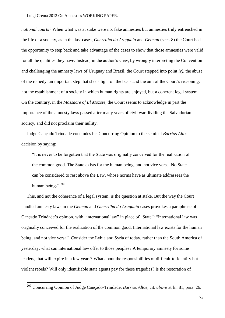## Luigi Crema 2013 On Amnesties WORKING PAPER.

*national courts?* When what was at stake were not fake amnesties but amnesties truly entrenched in the life of a society, as in the last cases, *Guerrilha do Araguaia* and *Gelman* (sect. 8) the Court had the opportunity to step back and take advantage of the cases to show that those amnesties were valid for all the qualities they have. Instead, in the author's view, by wrongly interpreting the Convention and challenging the amnesty laws of Uruguay and Brazil, the Court stepped into point *iv)*, the abuse of the remedy, an important step that sheds light on the basis and the aim of the Court's reasoning: not the establishment of a society in which human rights are enjoyed, but a coherent legal system. On the contrary, in the *Massacre of El Mozote*, the Court seems to acknowledge in part the importance of the amnesty laws passed after many years of civil war dividing the Salvadorian society, and did not proclaim their nullity.

Judge Cançado Trindade concludes his Concurring Opinion to the seminal *Barrios Altos*  decision by saying:

―It is never to be forgotten that the State was originally conceived for the realization of the common good. The State exists for the human being, and not vice versa. No State can be considered to rest above the Law, whose norms have as ultimate addressees the human beings". $209$ 

This, and not the coherence of a legal system, is the question at stake. But the way the Court handled amnesty laws in the *Gelman* and *Guerrilha do Araguaia* cases provokes a paraphrase of Cancado Trindade's opinion, with "international law" in place of "State": "International law was originally conceived for the realization of the common good. International law exists for the human being, and not vice versa". Consider the Lybia and Syria of today, rather than the South America of yesterday: what can international law offer to those peoples? A temporary amnesty for some leaders, that will expire in a few years? What about the responsibilities of difficult-to-identify but violent rebels? Will only identifiable state agents pay for these tragedies? Is the restoration of

-

<sup>209</sup> Concurring Opinion of Judge Cançado-Trindade, *Barrios Altos*, cit. *above* at fn. 81, para. 26.